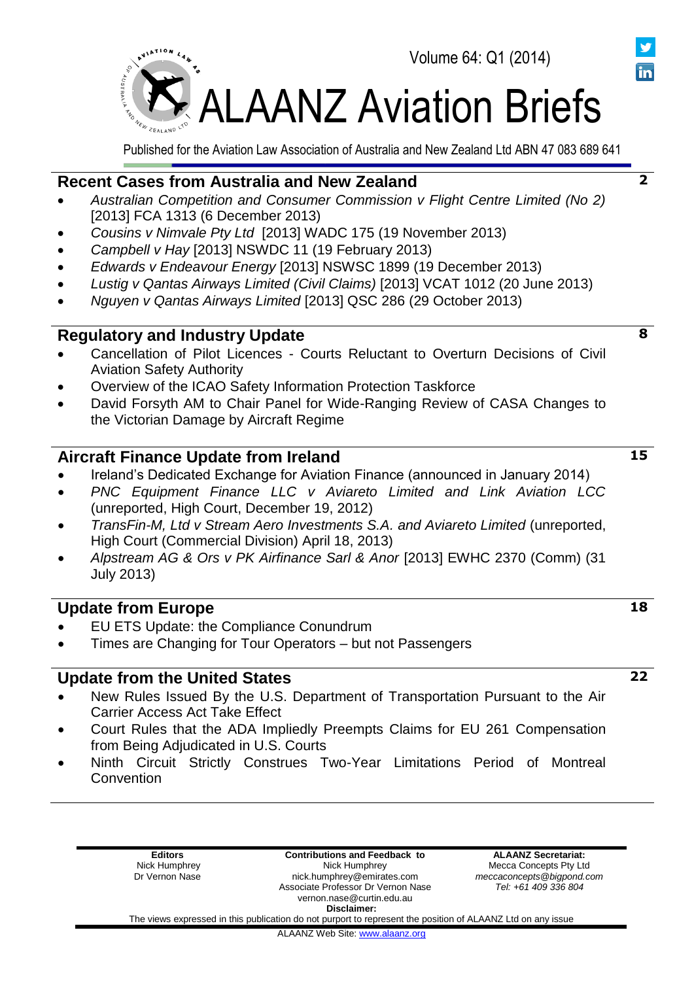

Published for the Aviation Law Association of Australia and New Zealand Ltd ABN 47 083 689 641

# **Recent Cases from Australia and New Zealand**

- *Australian Competition and Consumer Commission v Flight Centre Limited (No 2)*  [2013] FCA 1313 (6 December 2013)
- *Cousins v Nimvale Pty Ltd* [2013] WADC 175 (19 November 2013)
- *Campbell v Hay* [2013] NSWDC 11 (19 February 2013)
- *Edwards v Endeavour Energy* [2013] NSWSC 1899 (19 December 2013)
- *Lustig v Qantas Airways Limited (Civil Claims)* [\[2013\] VCAT 1012 \(20 June 2013\)](http://www.austlii.edu.au/cgi-bin/disp.pl/au/cases/vic/VCAT/2013/1012.html?stem=0&synonyms=0&query=lustig%20)
- *Nguyen v Qantas Airways Limited* [2013] QSC 286 (29 October 2013)

# **Regulatory and Industry Update**

- Cancellation of Pilot Licences Courts Reluctant to Overturn Decisions of Civil Aviation Safety Authority
- Overview of the ICAO Safety Information Protection Taskforce
- David Forsyth AM to Chair Panel for Wide-Ranging Review of CASA Changes to the Victorian Damage by Aircraft Regime

# **Aircraft Finance Update from Ireland**

- Ireland's Dedicated Exchange for Aviation Finance (announced in January 2014)
- *PNC Equipment Finance LLC v Aviareto Limited and Link Aviation LCC*  (unreported, High Court, December 19, 2012)
- *TransFin-M, Ltd v Stream Aero Investments S.A. and Aviareto Limited (unreported,* High Court (Commercial Division) April 18, 2013)
- *Alpstream AG & Ors v PK Airfinance Sarl & Anor* [2013] EWHC 2370 (Comm) (31 July 2013)

# **Update from Europe**

- EU ETS Update: the Compliance Conundrum
- Times are Changing for Tour Operators but not Passengers

# **Update from the United States**

- New Rules Issued By the U.S. Department of Transportation Pursuant to the Air Carrier Access Act Take Effect
- Court Rules that the ADA Impliedly Preempts Claims for EU 261 Compensation from Being Adjudicated in U.S. Courts
- Ninth Circuit Strictly Construes Two-Year Limitations Period of Montreal **Convention**

| <b>Editors</b> | <b>Contributions and Feedback to</b>                                                                        | <b>ALAANZ Secretariat:</b> |
|----------------|-------------------------------------------------------------------------------------------------------------|----------------------------|
| Nick Humphrey  | Nick Humphrey                                                                                               | Mecca Concepts Pty Ltd     |
| Dr Vernon Nase | nick.humphrey@emirates.com                                                                                  | meccaconcepts@bigpond.com  |
|                | Associate Professor Dr Vernon Nase                                                                          | Tel: +61 409 336 804       |
|                | vernon.nase@curtin.edu.au                                                                                   |                            |
|                | Disclaimer:                                                                                                 |                            |
|                | The views expressed in this publication do not purport to represent the position of ALAANZ Ltd on any issue |                            |
|                |                                                                                                             |                            |

**15**

**8**

**18**



**2**

**22**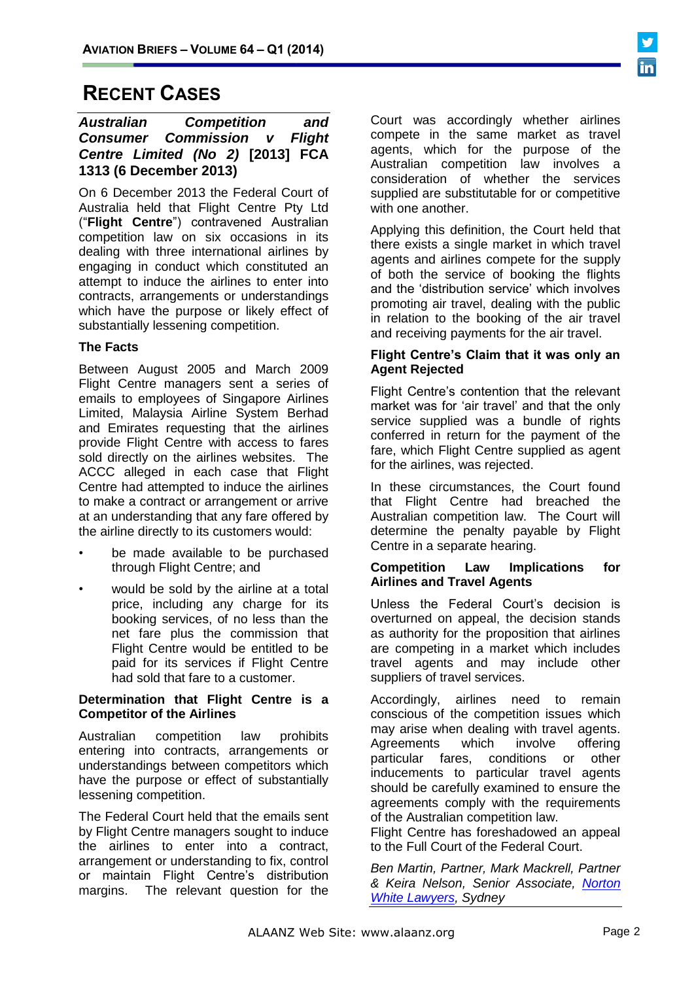# **RECENT CASES**

#### *Australian Competition and Consumer Commission v Flight Centre Limited (No 2)* **[2013] FCA 1313 (6 December 2013)**

On 6 December 2013 the Federal Court of Australia held that Flight Centre Pty Ltd ("**Flight Centre**") contravened Australian competition law on six occasions in its dealing with three international airlines by engaging in conduct which constituted an attempt to induce the airlines to enter into contracts, arrangements or understandings which have the purpose or likely effect of substantially lessening competition.

### **The Facts**

Between August 2005 and March 2009 Flight Centre managers sent a series of emails to employees of Singapore Airlines Limited, Malaysia Airline System Berhad and Emirates requesting that the airlines provide Flight Centre with access to fares sold directly on the airlines websites. The ACCC alleged in each case that Flight Centre had attempted to induce the airlines to make a contract or arrangement or arrive at an understanding that any fare offered by the airline directly to its customers would:

- be made available to be purchased through Flight Centre; and
- would be sold by the airline at a total price, including any charge for its booking services, of no less than the net fare plus the commission that Flight Centre would be entitled to be paid for its services if Flight Centre had sold that fare to a customer.

#### **Determination that Flight Centre is a Competitor of the Airlines**

Australian competition law prohibits entering into contracts, arrangements or understandings between competitors which have the purpose or effect of substantially lessening competition.

The Federal Court held that the emails sent by Flight Centre managers sought to induce the airlines to enter into a contract, arrangement or understanding to fix, control or maintain Flight Centre's distribution margins. The relevant question for the

Court was accordingly whether airlines compete in the same market as travel agents, which for the purpose of the Australian competition law involves a consideration of whether the services supplied are substitutable for or competitive with one another.

Applying this definition, the Court held that there exists a single market in which travel agents and airlines compete for the supply of both the service of booking the flights and the 'distribution service' which involves promoting air travel, dealing with the public in relation to the booking of the air travel and receiving payments for the air travel.

#### **Flight Centre's Claim that it was only an Agent Rejected**

Flight Centre's contention that the relevant market was for 'air travel' and that the only service supplied was a bundle of rights conferred in return for the payment of the fare, which Flight Centre supplied as agent for the airlines, was rejected.

In these circumstances, the Court found that Flight Centre had breached the Australian competition law. The Court will determine the penalty payable by Flight Centre in a separate hearing.

#### **Competition Law Implications for Airlines and Travel Agents**

Unless the Federal Court's decision is overturned on appeal, the decision stands as authority for the proposition that airlines are competing in a market which includes travel agents and may include other suppliers of travel services.

Accordingly, airlines need to remain conscious of the competition issues which may arise when dealing with travel agents. Agreements which involve offering particular fares, conditions or other inducements to particular travel agents should be carefully examined to ensure the agreements comply with the requirements of the Australian competition law.

Flight Centre has foreshadowed an appeal to the Full Court of the Federal Court.

*Ben Martin, Partner, Mark Mackrell, Partner & Keira Nelson, Senior Associate, [Norton](http://www.nortonwhite.com/)  [White Lawyers,](http://www.nortonwhite.com/) Sydney*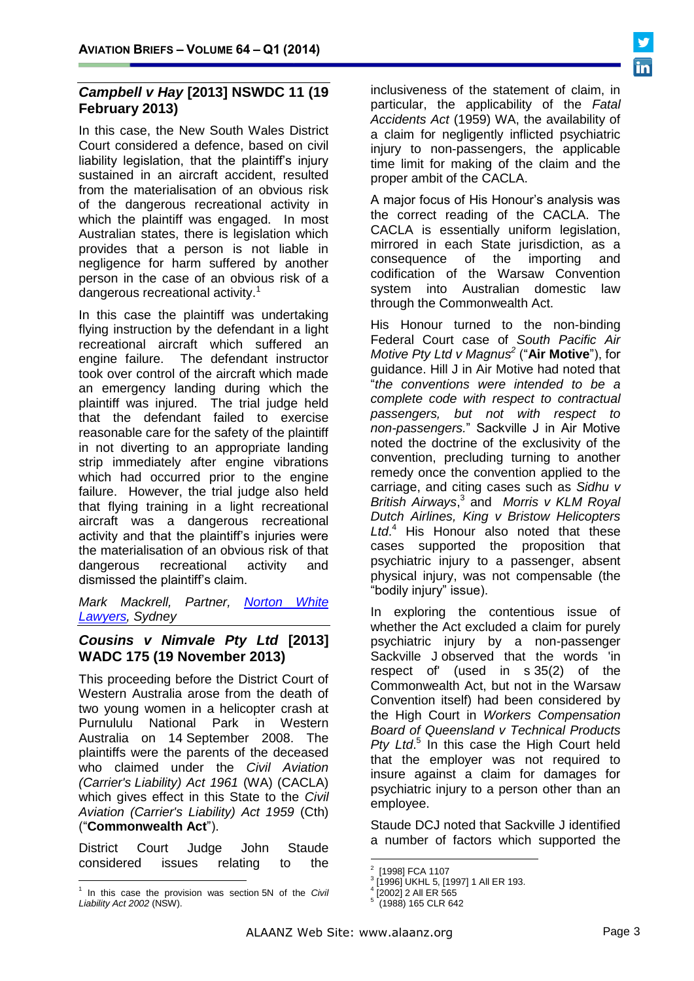# *Campbell v Hay* **[2013] NSWDC 11 (19 February 2013)**

In this case, the New South Wales District Court considered a defence, based on civil liability legislation, that the plaintiff's injury sustained in an aircraft accident, resulted from the materialisation of an obvious risk of the dangerous recreational activity in which the plaintiff was engaged. In most Australian states, there is legislation which provides that a person is not liable in negligence for harm suffered by another person in the case of an obvious risk of a dangerous recreational activity.<sup>1</sup>

In this case the plaintiff was undertaking flying instruction by the defendant in a light recreational aircraft which suffered an engine failure. The defendant instructor took over control of the aircraft which made an emergency landing during which the plaintiff was injured. The trial judge held that the defendant failed to exercise reasonable care for the safety of the plaintiff in not diverting to an appropriate landing strip immediately after engine vibrations which had occurred prior to the engine failure. However, the trial judge also held that flying training in a light recreational aircraft was a dangerous recreational activity and that the plaintiff's injuries were the materialisation of an obvious risk of that dangerous recreational activity and dismissed the plaintiff's claim.

*Mark Mackrell, Partner, [Norton White](http://www.nortonwhite.com/)  [Lawyers,](http://www.nortonwhite.com/) Sydney*

# *Cousins v Nimvale Pty Ltd* **[2013] WADC 175 (19 November 2013)**

This proceeding before the District Court of Western Australia arose from the death of two young women in a helicopter crash at Purnululu National Park in Western Australia on 14 September 2008. The plaintiffs were the parents of the deceased who claimed under the *Civil Aviation (Carrier's Liability) Act 1961* (WA) (CACLA) which gives effect in this State to the *Civil Aviation (Carrier's Liability) Act 1959* (Cth) ("**Commonwealth Act**").

District Court Judge John Staude considered issues relating to the

inclusiveness of the statement of claim, in particular, the applicability of the *Fatal Accidents Act* (1959) WA, the availability of a claim for negligently inflicted psychiatric injury to non-passengers, the applicable time limit for making of the claim and the proper ambit of the CACLA.

A major focus of His Honour's analysis was the correct reading of the CACLA. The CACLA is essentially uniform legislation, mirrored in each State jurisdiction, as a consequence of the importing and codification of the Warsaw Convention system into Australian domestic law through the Commonwealth Act.

His Honour turned to the non-binding Federal Court case of *South Pacific Air Motive Pty Ltd v Magnus<sup>2</sup>* ("**Air Motive**"), for guidance. Hill J in Air Motive had noted that "*the conventions were intended to be a complete code with respect to contractual passengers, but not with respect to non-passengers.*" Sackville J in Air Motive noted the doctrine of the exclusivity of the convention, precluding turning to another remedy once the convention applied to the carriage, and citing cases such as *Sidhu v British Airways*, 3 and *Morris v KLM Royal Dutch Airlines, King v Bristow Helicopters Ltd*. <sup>4</sup> His Honour also noted that these cases supported the proposition that psychiatric injury to a passenger, absent physical injury, was not compensable (the "bodily injury" issue).

In exploring the contentious issue of whether the Act excluded a claim for purely psychiatric injury by a non-passenger Sackville J observed that the words 'in respect of' (used in s 35(2) of the Commonwealth Act, but not in the Warsaw Convention itself) had been considered by the High Court in *Workers Compensation Board of Queensland v Technical Products*  Pty Ltd.<sup>5</sup> In this case the High Court held that the employer was not required to insure against a claim for damages for psychiatric injury to a person other than an employee.

Staude DCJ noted that Sackville J identified a number of factors which supported the

 $\overline{a}$ 1 In this case the provision was section 5N of the *Civil Liability Act 2002* (NSW).

 $\frac{1}{2}$ [1998] FCA 1107

<sup>3</sup> [1996] UKHL 5, [1997] 1 All ER 193.

<sup>4</sup> [2002] 2 All ER 565 5

 <sup>(1988) 165</sup> CLR 642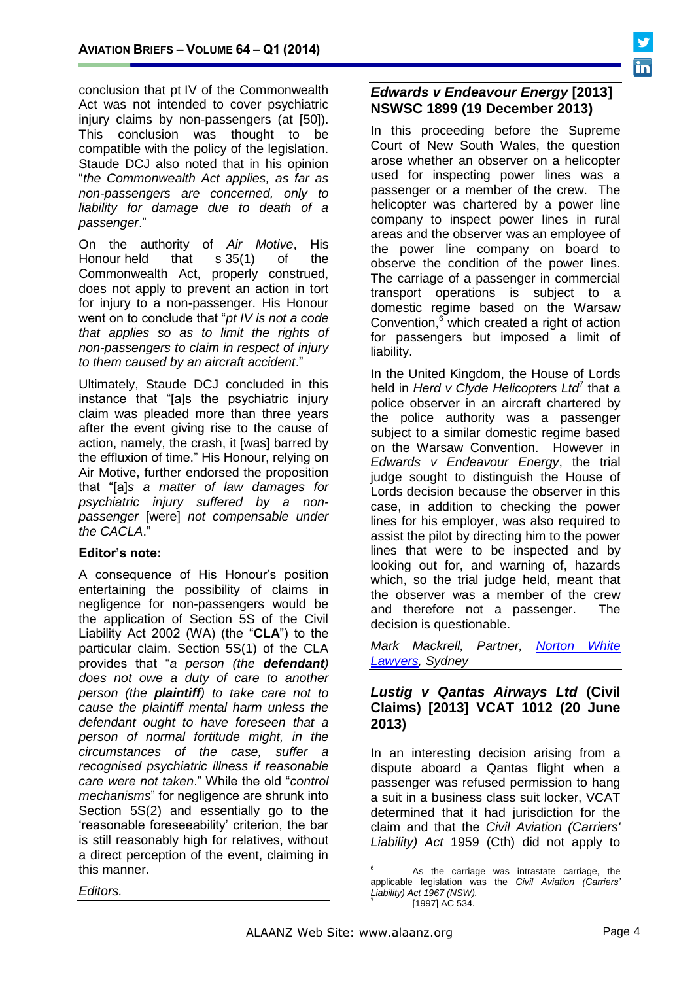conclusion that pt IV of the Commonwealth Act was not intended to cover psychiatric injury claims by non-passengers (at [50]). This conclusion was thought to be compatible with the policy of the legislation. Staude DCJ also noted that in his opinion "*the Commonwealth Act applies, as far as non-passengers are concerned, only to liability for damage due to death of a passenger*."

On the authority of *Air Motive*, His Honour held that s 35(1) of the Commonwealth Act, properly construed, does not apply to prevent an action in tort for injury to a non-passenger. His Honour went on to conclude that "*pt IV is not a code that applies so as to limit the rights of non-passengers to claim in respect of injury to them caused by an aircraft accident*."

Ultimately, Staude DCJ concluded in this instance that "[a]s the psychiatric injury claim was pleaded more than three years after the event giving rise to the cause of action, namely, the crash, it [was] barred by the effluxion of time." His Honour, relying on Air Motive, further endorsed the proposition that "[a]*s a matter of law damages for psychiatric injury suffered by a nonpassenger* [were] *not compensable under the CACLA*."

#### **Editor's note:**

A consequence of His Honour's position entertaining the possibility of claims in negligence for non-passengers would be the application of Section 5S of the Civil Liability Act 2002 (WA) (the "**CLA**") to the particular claim. Section 5S(1) of the CLA provides that "*a person (the defendant) does not owe a duty of care to another person (the plaintiff) to take care not to cause the plaintiff mental harm unless the defendant ought to have foreseen that a person of normal fortitude might, in the circumstances of the case, suffer a recognised psychiatric illness if reasonable care were not taken*." While the old "*control mechanisms*" for negligence are shrunk into Section 5S(2) and essentially go to the 'reasonable foreseeability' criterion, the bar is still reasonably high for relatives, without a direct perception of the event, claiming in this manner.

#### *Edwards v Endeavour Energy* **[2013] NSWSC 1899 (19 December 2013)**

In this proceeding before the Supreme Court of New South Wales, the question arose whether an observer on a helicopter used for inspecting power lines was a passenger or a member of the crew. The helicopter was chartered by a power line company to inspect power lines in rural areas and the observer was an employee of the power line company on board to observe the condition of the power lines. The carriage of a passenger in commercial transport operations is subject to a domestic regime based on the Warsaw Convention, $6$  which created a right of action for passengers but imposed a limit of liability.

In the United Kingdom, the House of Lords held in *Herd v Clyde Helicopters Ltd<sup>7</sup>* that a police observer in an aircraft chartered by the police authority was a passenger subject to a similar domestic regime based on the Warsaw Convention. However in *Edwards v Endeavour Energy*, the trial judge sought to distinguish the House of Lords decision because the observer in this case, in addition to checking the power lines for his employer, was also required to assist the pilot by directing him to the power lines that were to be inspected and by looking out for, and warning of, hazards which, so the trial judge held, meant that the observer was a member of the crew and therefore not a passenger. The decision is questionable.

*Mark Mackrell, Partner, [Norton White](http://www.nortonwhite.com/)  [Lawyers,](http://www.nortonwhite.com/) Sydney*

### *[Lustig v Qantas Airways Ltd](http://www.austlii.edu.au/cgi-bin/disp.pl/au/cases/vic/VCAT/2013/1012.html?stem=0&synonyms=0&query=lustig%20)* **(Civil [Claims\) \[2013\] VCAT 1012 \(20 June](http://www.austlii.edu.au/cgi-bin/disp.pl/au/cases/vic/VCAT/2013/1012.html?stem=0&synonyms=0&query=lustig%20)  [2013\)](http://www.austlii.edu.au/cgi-bin/disp.pl/au/cases/vic/VCAT/2013/1012.html?stem=0&synonyms=0&query=lustig%20)**

In an interesting decision arising from a dispute aboard a Qantas flight when a passenger was refused permission to hang a suit in a business class suit locker, VCAT determined that it had jurisdiction for the claim and that the *[Civil Aviation \(Carriers'](http://www.austlii.edu.au/au/legis/cth/consol_act/cala1959327/)  [Liability\) Act](http://www.austlii.edu.au/au/legis/cth/consol_act/cala1959327/)* 1959 (Cth) did not apply to

*Editors.*

 $\overline{6}$ As the carriage was intrastate carriage, the applicable legislation was the *Civil Aviation (Carriers' Liability) Act 1967 (NSW).* 7 [1997] AC 534.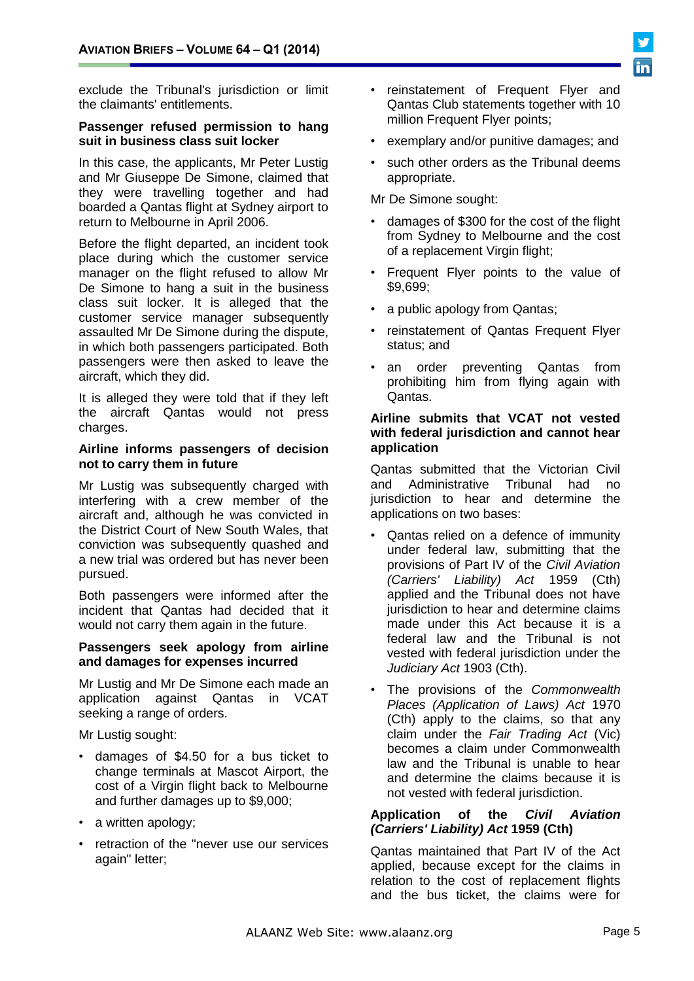exclude the Tribunal's jurisdiction or limit the claimants' entitlements.

#### **Passenger refused permission to hang suit in business class suit locker**

In this case, the applicants, Mr Peter Lustig and Mr Giuseppe De Simone, claimed that they were travelling together and had boarded a Qantas flight at Sydney airport to return to Melbourne in April 2006.

Before the flight departed, an incident took place during which the customer service manager on the flight refused to allow Mr De Simone to hang a suit in the business class suit locker. It is alleged that the customer service manager subsequently assaulted Mr De Simone during the dispute, in which both passengers participated. Both passengers were then asked to leave the aircraft, which they did.

It is alleged they were told that if they left the aircraft Qantas would not press charges.

#### **Airline informs passengers of decision not to carry them in future**

Mr Lustig was subsequently charged with interfering with a crew member of the aircraft and, although he was convicted in the District Court of New South Wales, that conviction was subsequently quashed and a new trial was ordered but has never been pursued.

Both passengers were informed after the incident that Qantas had decided that it would not carry them again in the future.

#### **Passengers seek apology from airline and damages for expenses incurred**

Mr Lustig and Mr De Simone each made an application against Qantas in VCAT seeking a range of orders.

Mr Lustig sought:

- damages of \$4.50 for a bus ticket to change terminals at Mascot Airport, the cost of a Virgin flight back to Melbourne and further damages up to \$9,000;
- a written apology;
- retraction of the "never use our services again" letter;
- reinstatement of Frequent Flyer and Qantas Club statements together with 10 million Frequent Flyer points;
- exemplary and/or punitive damages; and
- such other orders as the Tribunal deems appropriate.

Mr De Simone sought:

- damages of \$300 for the cost of the flight from Sydney to Melbourne and the cost of a replacement Virgin flight;
- Frequent Flyer points to the value of \$9,699;
- a public apology from Qantas;
- reinstatement of Qantas Frequent Flyer status; and
- an order preventing Qantas from prohibiting him from flying again with Qantas.

#### **Airline submits that VCAT not vested with federal jurisdiction and cannot hear application**

Qantas submitted that the Victorian Civil and Administrative Tribunal had no jurisdiction to hear and determine the applications on two bases:

- Qantas relied on a defence of immunity under federal law, submitting that the provisions of Part IV of the *Civil Aviation (Carriers' Liability) Act* 1959 (Cth) applied and the Tribunal does not have jurisdiction to hear and determine claims made under this Act because it is a federal law and the Tribunal is not vested with federal jurisdiction under the *[Judiciary Act](http://www.austlii.edu.au/au/legis/cth/consol_act/ja1903112/)* 1903 (Cth).
- The provisions of the *[Commonwealth](http://www.austlii.edu.au/au/legis/cth/consol_act/cpola1970376/)  [Places \(Application of Laws\) Act](http://www.austlii.edu.au/au/legis/cth/consol_act/cpola1970376/)* 1970 [\(Cth\)](http://www.austlii.edu.au/au/legis/cth/consol_act/cpola1970376/) apply to the claims, so that any claim under the *[Fair Trading Act](http://www.austlii.edu.au/au/legis/vic/consol_act/fta1999117/)* (Vic) becomes a claim under Commonwealth law and the Tribunal is unable to hear and determine the claims because it is not vested with federal jurisdiction.

#### **Application of the** *Civil Aviation (Carriers' Liability) Act* **1959 (Cth)**

Qantas maintained that Part IV of the Act applied, because except for the claims in relation to the cost of replacement flights and the bus ticket, the claims were for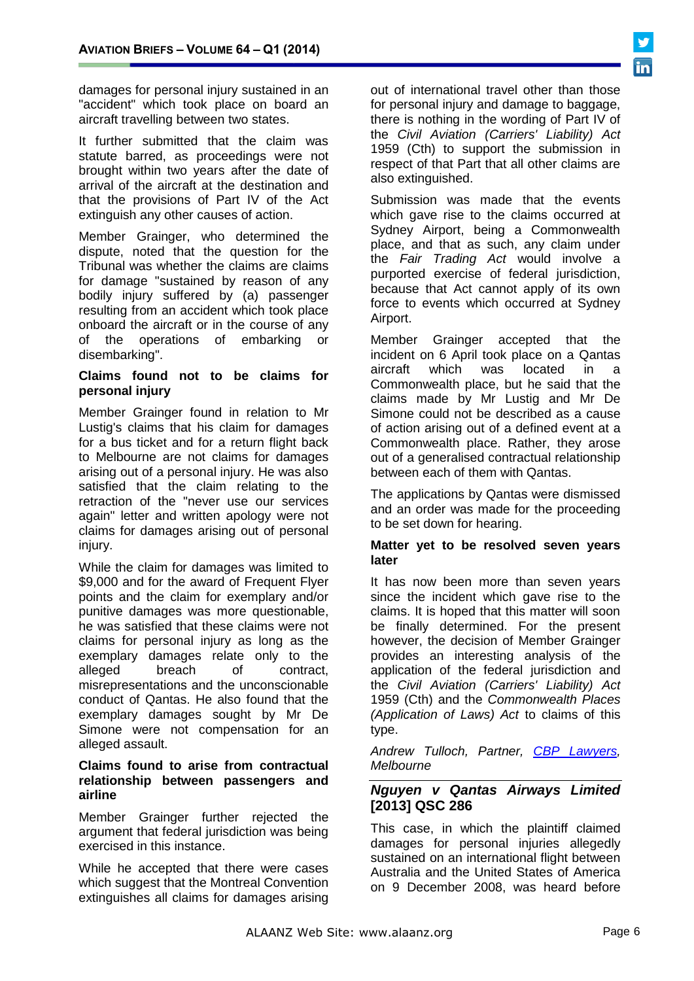damages for personal injury sustained in an "accident" which took place on board an aircraft travelling between two states.

It further submitted that the claim was statute barred, as proceedings were not brought within two years after the date of arrival of the aircraft at the destination and that the provisions of Part IV of the Act extinguish any other causes of action.

Member Grainger, who determined the dispute, noted that the question for the Tribunal was whether the claims are claims for damage "sustained by reason of any bodily injury suffered by (a) passenger resulting from an accident which took place onboard the aircraft or in the course of any of the operations of embarking or disembarking".

#### **Claims found not to be claims for personal injury**

Member Grainger found in relation to Mr Lustig's claims that his claim for damages for a bus ticket and for a return flight back to Melbourne are not claims for damages arising out of a personal injury. He was also satisfied that the claim relating to the retraction of the "never use our services again" letter and written apology were not claims for damages arising out of personal injury.

While the claim for damages was limited to \$9,000 and for the award of Frequent Flyer points and the claim for exemplary and/or punitive damages was more questionable, he was satisfied that these claims were not claims for personal injury as long as the exemplary damages relate only to the alleged breach of contract, misrepresentations and the unconscionable conduct of Qantas. He also found that the exemplary damages sought by Mr De Simone were not compensation for an alleged assault.

#### **Claims found to arise from contractual relationship between passengers and airline**

Member Grainger further rejected the argument that federal jurisdiction was being exercised in this instance.

While he accepted that there were cases which suggest that the Montreal Convention extinguishes all claims for damages arising out of international travel other than those for personal injury and damage to baggage, there is nothing in the wording of Part IV of the *Civil Aviation (Carriers' Liability) Act*  1959 (Cth) to support the submission in respect of that Part that all other claims are also extinguished.

Submission was made that the events which gave rise to the claims occurred at Sydney Airport, being a Commonwealth place, and that as such, any claim under the *Fair Trading Act* would involve a purported exercise of federal jurisdiction, because that Act cannot apply of its own force to events which occurred at Sydney Airport.

Member Grainger accepted that the incident on 6 April took place on a Qantas aircraft which was located in a Commonwealth place, but he said that the claims made by Mr Lustig and Mr De Simone could not be described as a cause of action arising out of a defined event at a Commonwealth place. Rather, they arose out of a generalised contractual relationship between each of them with Qantas.

The applications by Qantas were dismissed and an order was made for the proceeding to be set down for hearing.

#### **Matter yet to be resolved seven years later**

It has now been more than seven years since the incident which gave rise to the claims. It is hoped that this matter will soon be finally determined. For the present however, the decision of Member Grainger provides an interesting analysis of the application of the federal jurisdiction and the *Civil Aviation (Carriers' Liability) Act*  1959 (Cth) and the *Commonwealth Places (Application of Laws) Act* to claims of this type.

*Andrew Tulloch, Partner, [CBP Lawyers,](http://cbp.com.au/) Melbourne*

#### *Nguyen v Qantas Airways Limited* **[2013] QSC 286**

This case, in which the plaintiff claimed damages for personal injuries allegedly sustained on an international flight between Australia and the United States of America on 9 December 2008, was heard before

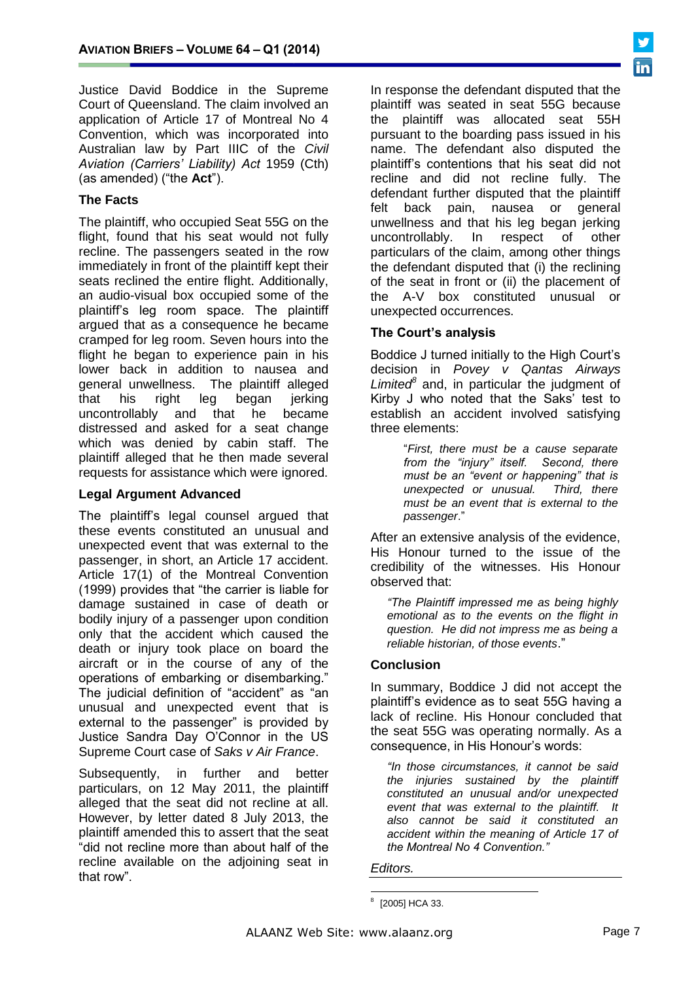Justice David Boddice in the Supreme Court of Queensland. The claim involved an application of Article 17 of Montreal No 4 Convention, which was incorporated into Australian law by Part IIIC of the *Civil Aviation (Carriers' Liability) Act* 1959 (Cth) (as amended) ("the **Act**").

#### **The Facts**

The plaintiff, who occupied Seat 55G on the flight, found that his seat would not fully recline. The passengers seated in the row immediately in front of the plaintiff kept their seats reclined the entire flight. Additionally, an audio-visual box occupied some of the plaintiff's leg room space. The plaintiff argued that as a consequence he became cramped for leg room. Seven hours into the flight he began to experience pain in his lower back in addition to nausea and general unwellness. The plaintiff alleged that his right leg began jerking<br>uncontrollably and that he became and that he became distressed and asked for a seat change which was denied by cabin staff. The plaintiff alleged that he then made several requests for assistance which were ignored.

#### **Legal Argument Advanced**

The plaintiff's legal counsel argued that these events constituted an unusual and unexpected event that was external to the passenger, in short, an Article 17 accident. Article 17(1) of the Montreal Convention (1999) provides that "the carrier is liable for damage sustained in case of death or bodily injury of a passenger upon condition only that the accident which caused the death or injury took place on board the aircraft or in the course of any of the operations of embarking or disembarking." The judicial definition of "accident" as "an unusual and unexpected event that is external to the passenger" is provided by Justice Sandra Day O'Connor in the US Supreme Court case of *Saks v Air France*.

Subsequently, in further and better particulars, on 12 May 2011, the plaintiff alleged that the seat did not recline at all. However, by letter dated 8 July 2013, the plaintiff amended this to assert that the seat "did not recline more than about half of the recline available on the adjoining seat in that row".

In response the defendant disputed that the plaintiff was seated in seat 55G because the plaintiff was allocated seat 55H pursuant to the boarding pass issued in his name. The defendant also disputed the plaintiff's contentions that his seat did not recline and did not recline fully. The defendant further disputed that the plaintiff felt back pain, nausea or general unwellness and that his leg began jerking uncontrollably. In respect of other particulars of the claim, among other things the defendant disputed that (i) the reclining of the seat in front or (ii) the placement of the A-V box constituted unusual or unexpected occurrences.

#### **The Court's analysis**

Boddice J turned initially to the High Court's decision in *Povey v Qantas Airways Limited<sup>8</sup>* and, in particular the judgment of Kirby J who noted that the Saks' test to establish an accident involved satisfying three elements:

> "*First, there must be a cause separate from the "injury" itself. Second, there must be an "event or happening" that is unexpected or unusual. Third, there must be an event that is external to the passenger*."

After an extensive analysis of the evidence, His Honour turned to the issue of the credibility of the witnesses. His Honour observed that:

*"The Plaintiff impressed me as being highly emotional as to the events on the flight in question. He did not impress me as being a reliable historian, of those events*."

#### **Conclusion**

In summary, Boddice J did not accept the plaintiff's evidence as to seat 55G having a lack of recline. His Honour concluded that the seat 55G was operating normally. As a consequence, in His Honour's words:

*"In those circumstances, it cannot be said the injuries sustained by the plaintiff constituted an unusual and/or unexpected event that was external to the plaintiff. It also cannot be said it constituted an accident within the meaning of Article 17 of the Montreal No 4 Convention."*

#### *Editors.*



<sup>-</sup>8 [2005] HCA 33.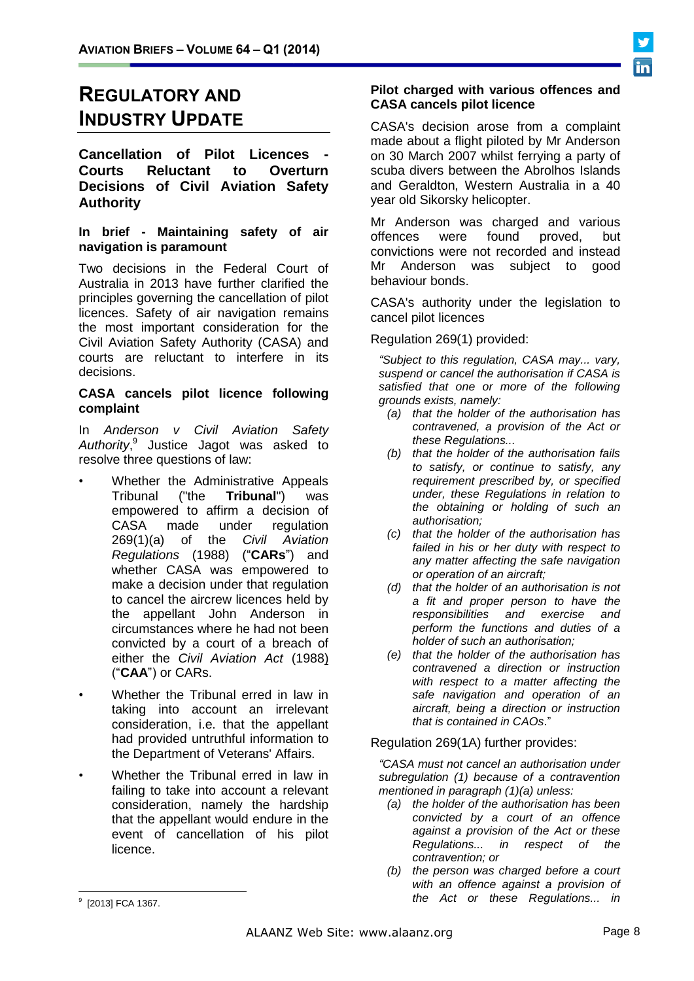# **REGULATORY AND INDUSTRY UPDATE**

**Cancellation of Pilot Licences - Courts Reluctant to Overturn Decisions of Civil Aviation Safety Authority**

#### **In brief - Maintaining safety of air navigation is paramount**

Two decisions in the Federal Court of Australia in 2013 have further clarified the principles governing the cancellation of pilot licences. Safety of air navigation remains the most important consideration for the Civil Aviation Safety Authority (CASA) and courts are reluctant to interfere in its decisions.

#### **CASA cancels pilot licence following complaint**

In *[Anderson v Civil Aviation Safety](http://www.austlii.edu.au/cgi-bin/sinodisp/au/cases/cth/FCA/2013/1367.html?stem=0&synonyms=0&query=Anderson%20Civil%20Aviation)  [Authority](http://www.austlii.edu.au/cgi-bin/sinodisp/au/cases/cth/FCA/2013/1367.html?stem=0&synonyms=0&query=Anderson%20Civil%20Aviation)*, 9 Justice Jagot was asked to resolve three questions of law:

- Whether the Administrative Appeals Tribunal ("the **Tribunal**") was empowered to affirm a decision of CASA made under [regulation](http://www.austlii.edu.au/au/legis/cth/consol_reg/car1988263/s269.html)  [269\(1\)\(a\)](http://www.austlii.edu.au/au/legis/cth/consol_reg/car1988263/s269.html) of the *[Civil Aviation](http://www.austlii.edu.au/au/legis/cth/consol_reg/car1988263/)  [Regulations](http://www.austlii.edu.au/au/legis/cth/consol_reg/car1988263/)* (1988) ("**CARs**") and whether CASA was empowered to make a decision under that regulation to cancel the aircrew licences held by the appellant John Anderson in circumstances where he had not been convicted by a court of a breach of either the *[Civil Aviation Act](http://www.austlii.edu.au/au/legis/cth/consol_act/caa1988154/)* (1988) ("**CAA**") or CARs.
- Whether the Tribunal erred in law in taking into account an irrelevant consideration, i.e. that the appellant had provided untruthful information to the Department of Veterans' Affairs.
- Whether the Tribunal erred in law in failing to take into account a relevant consideration, namely the hardship that the appellant would endure in the event of cancellation of his pilot licence.

#### **Pilot charged with various offences and CASA cancels pilot licence**

CASA's decision arose from a complaint made about a flight piloted by Mr Anderson on 30 March 2007 whilst ferrying a party of scuba divers between the Abrolhos Islands and Geraldton, Western Australia in a 40 year old Sikorsky helicopter.

Mr Anderson was charged and various offences were found proved, but convictions were not recorded and instead Mr Anderson was subject to good behaviour bonds.

CASA's authority under the legislation to cancel pilot licences

#### Regulation 269(1) provided:

*"Subject to this regulation, CASA may... vary, suspend or cancel the authorisation if CASA is satisfied that one or more of the following grounds exists, namely:*

- *(a) that the holder of the authorisation has contravened, a provision of the Act or these Regulations...*
- *(b) that the holder of the authorisation fails to satisfy, or continue to satisfy, any requirement prescribed by, or specified under, these Regulations in relation to the obtaining or holding of such an authorisation;*
- *(c) that the holder of the authorisation has failed in his or her duty with respect to any matter affecting the safe navigation or operation of an aircraft;*
- *(d) that the holder of an authorisation is not a fit and proper person to have the responsibilities and exercise and perform the functions and duties of a holder of such an authorisation;*
- *(e) that the holder of the authorisation has contravened a direction or instruction with respect to a matter affecting the safe navigation and operation of an aircraft, being a direction or instruction that is contained in CAOs*."

Regulation 269(1A) further provides:

*"CASA must not cancel an authorisation under subregulation (1) because of a contravention mentioned in paragraph (1)(a) unless:*

- *(a) the holder of the authorisation has been convicted by a court of an offence against a provision of the Act or these Regulations... in respect of the contravention; or*
- *(b) the person was charged before a court with an offence against a provision of the Act or these Regulations... in*

<sup>9</sup> [2013] FCA 1367.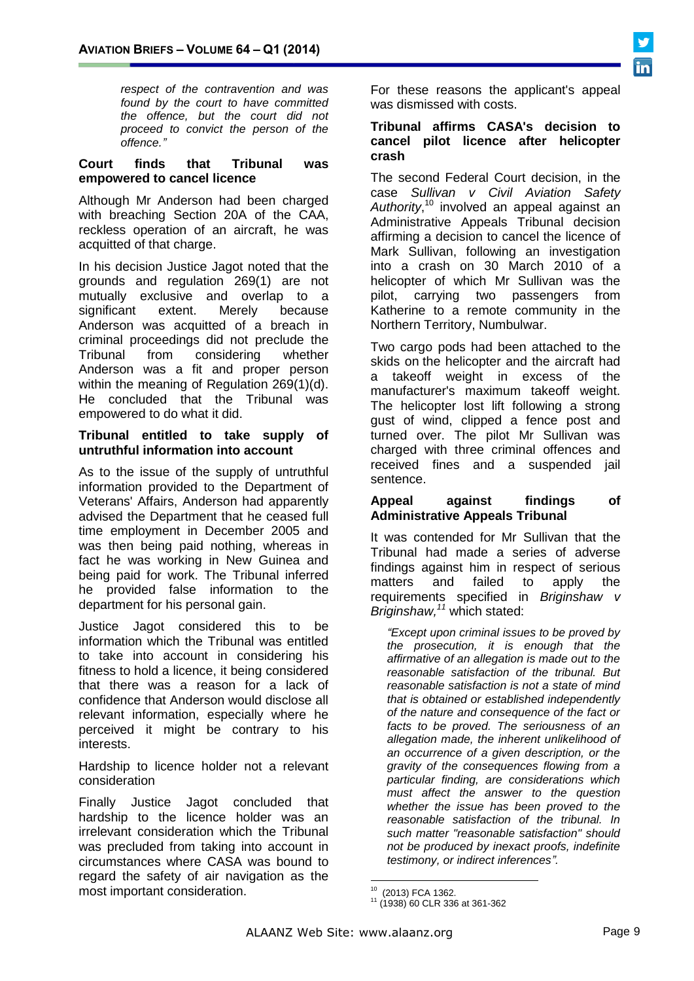*respect of the contravention and was found by the court to have committed the offence, but the court did not proceed to convict the person of the offence."*

#### **Court finds that Tribunal was empowered to cancel licence**

Although Mr Anderson had been charged with breaching [Section 20A](http://www.austlii.edu.au/au/legis/cth/consol_act/caa1988154/s20a.html) of the CAA, reckless operation of an aircraft, he was acquitted of that charge.

In his decision Justice Jagot noted that the grounds and regulation 269(1) are not mutually exclusive and overlap to a significant extent. Merely because Anderson was acquitted of a breach in criminal proceedings did not preclude the Tribunal from considering whether Anderson was a fit and proper person within the meaning of Regulation 269(1)(d). He concluded that the Tribunal was empowered to do what it did.

#### **Tribunal entitled to take supply of untruthful information into account**

As to the issue of the supply of untruthful information provided to the Department of Veterans' Affairs, Anderson had apparently advised the Department that he ceased full time employment in December 2005 and was then being paid nothing, whereas in fact he was working in New Guinea and being paid for work. The Tribunal inferred he provided false information to the department for his personal gain.

Justice Jagot considered this to be information which the Tribunal was entitled to take into account in considering his fitness to hold a licence, it being considered that there was a reason for a lack of confidence that Anderson would disclose all relevant information, especially where he perceived it might be contrary to his interests.

Hardship to licence holder not a relevant consideration

Finally Justice Jagot concluded that hardship to the licence holder was an irrelevant consideration which the Tribunal was precluded from taking into account in circumstances where CASA was bound to regard the safety of air navigation as the most important consideration.

For these reasons the applicant's appeal was dismissed with costs.

#### **Tribunal affirms CASA's decision to cancel pilot licence after helicopter crash**

The second Federal Court decision, in the case *[Sullivan v Civil Aviation Safety](http://www.austlii.edu.au/cgi-bin/sinodisp/au/cases/cth/FCA/2013/1362.html?stem=0&synonyms=0&query=sullivan%20civil%20aviation)  [Authority](http://www.austlii.edu.au/cgi-bin/sinodisp/au/cases/cth/FCA/2013/1362.html?stem=0&synonyms=0&query=sullivan%20civil%20aviation)*, <sup>10</sup> involved an appeal against an Administrative Appeals Tribunal decision affirming a decision to cancel the licence of Mark Sullivan, following an investigation into a crash on 30 March 2010 of a helicopter of which Mr Sullivan was the pilot, carrying two passengers from Katherine to a remote community in the Northern Territory, Numbulwar.

Two cargo pods had been attached to the skids on the helicopter and the aircraft had a takeoff weight in excess of the manufacturer's maximum takeoff weight. The helicopter lost lift following a strong gust of wind, clipped a fence post and turned over. The pilot Mr Sullivan was charged with three criminal offences and received fines and a suspended jail sentence.

#### **Appeal against findings of Administrative Appeals Tribunal**

It was contended for Mr Sullivan that the Tribunal had made a series of adverse findings against him in respect of serious matters and failed to apply the requirements specified in *Briginshaw v Briginshaw, <sup>11</sup>* which stated:

*"Except upon criminal issues to be proved by the prosecution, it is enough that the affirmative of an allegation is made out to the reasonable satisfaction of the tribunal. But reasonable satisfaction is not a state of mind that is obtained or established independently of the nature and consequence of the fact or facts to be proved. The seriousness of an allegation made, the inherent unlikelihood of an occurrence of a given description, or the gravity of the consequences flowing from a particular finding, are considerations which must affect the answer to the question whether the issue has been proved to the reasonable satisfaction of the tribunal. In such matter "reasonable satisfaction" should not be produced by inexact proofs, indefinite testimony, or indirect inferences".*

<sup>10 (2013)</sup> FCA 1362.

 $11$  (1938) 60 CLR 336 at 361-362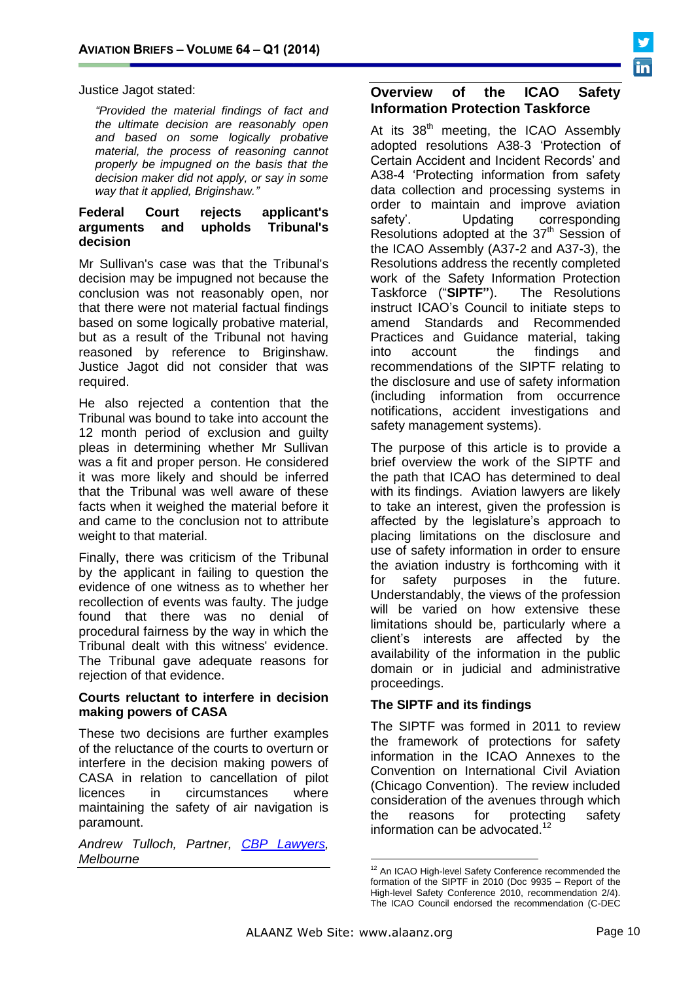Justice Jagot stated:

*"Provided the material findings of fact and the ultimate decision are reasonably open and based on some logically probative material, the process of reasoning cannot properly be impugned on the basis that the decision maker did not apply, or say in some way that it applied, Briginshaw."*

#### **Federal Court rejects applicant's**  arguments and **decision**

Mr Sullivan's case was that the Tribunal's decision may be impugned not because the conclusion was not reasonably open, nor that there were not material factual findings based on some logically probative material, but as a result of the Tribunal not having reasoned by reference to Briginshaw. Justice Jagot did not consider that was required.

He also rejected a contention that the Tribunal was bound to take into account the 12 month period of exclusion and guilty pleas in determining whether Mr Sullivan was a fit and proper person. He considered it was more likely and should be inferred that the Tribunal was well aware of these facts when it weighed the material before it and came to the conclusion not to attribute weight to that material.

Finally, there was criticism of the Tribunal by the applicant in failing to question the evidence of one witness as to whether her recollection of events was faulty. The judge found that there was no denial of procedural fairness by the way in which the Tribunal dealt with this witness' evidence. The Tribunal gave adequate reasons for rejection of that evidence.

#### **Courts reluctant to interfere in decision making powers of CASA**

These two decisions are further examples of the reluctance of the courts to overturn or interfere in the decision making powers of CASA in relation to cancellation of pilot licences in circumstances where maintaining the safety of air navigation is paramount.

*Andrew Tulloch, Partner, [CBP Lawyers,](http://cbp.com.au/) Melbourne*

#### **Overview of the ICAO Safety Information Protection Taskforce**

At its  $38<sup>th</sup>$  meeting, the ICAO Assembly adopted resolutions A38-3 'Protection of Certain Accident and Incident Records' and A38-4 'Protecting information from safety data collection and processing systems in order to maintain and improve aviation safety'. Updating corresponding Resolutions adopted at the 37<sup>th</sup> Session of the ICAO Assembly (A37-2 and A37-3), the Resolutions address the recently completed work of the Safety Information Protection Taskforce ("**SIPTF"**). The Resolutions instruct ICAO's Council to initiate steps to amend Standards and Recommended Practices and Guidance material, taking into account the findings and recommendations of the SIPTF relating to the disclosure and use of safety information (including information from occurrence notifications, accident investigations and safety management systems).

The purpose of this article is to provide a brief overview the work of the SIPTF and the path that ICAO has determined to deal with its findings. Aviation lawyers are likely to take an interest, given the profession is affected by the legislature's approach to placing limitations on the disclosure and use of safety information in order to ensure the aviation industry is forthcoming with it for safety purposes in the future. Understandably, the views of the profession will be varied on how extensive these limitations should be, particularly where a client's interests are affected by the availability of the information in the public domain or in judicial and administrative proceedings.

#### **The SIPTF and its findings**

The SIPTF was formed in 2011 to review the framework of protections for safety information in the ICAO Annexes to the Convention on International Civil Aviation (Chicago Convention). The review included consideration of the avenues through which the reasons for protecting safety information can be advocated.<sup>12</sup>

<u>.</u>

<sup>&</sup>lt;sup>12</sup> An ICAO High-level Safety Conference recommended the formation of the SIPTF in 2010 (Doc 9935 – Report of the High-level Safety Conference 2010, recommendation 2/4). The ICAO Council endorsed the recommendation (C-DEC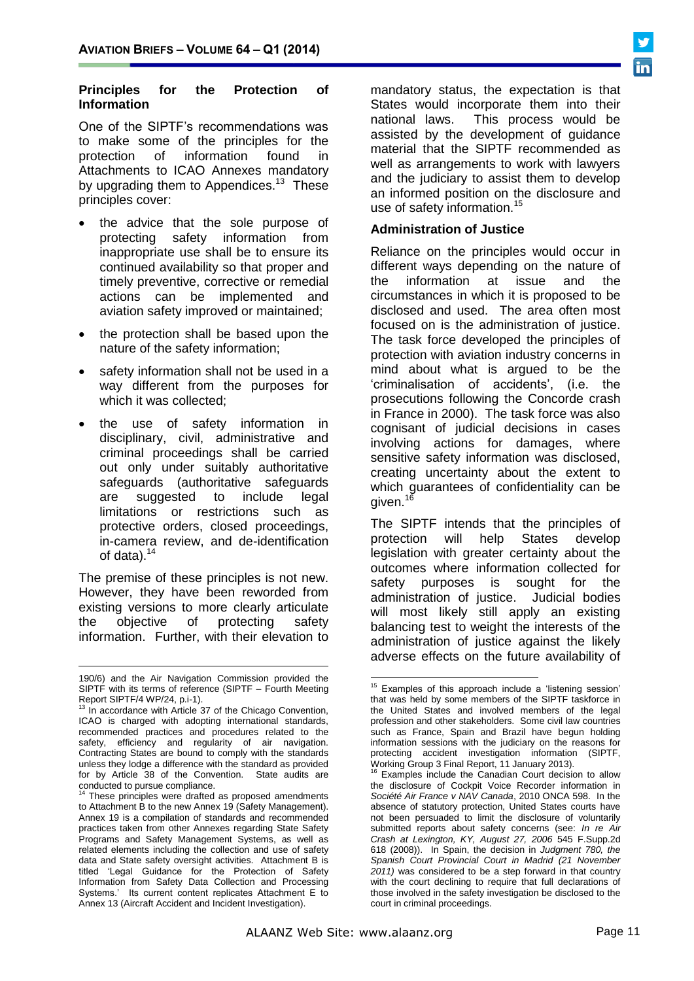#### **Principles for the Protection of Information**

One of the SIPTF's recommendations was to make some of the principles for the protection of information found in Attachments to ICAO Annexes mandatory by upgrading them to Appendices.<sup>13</sup> These principles cover:

- the advice that the sole purpose of protecting safety information from inappropriate use shall be to ensure its continued availability so that proper and timely preventive, corrective or remedial actions can be implemented and aviation safety improved or maintained;
- the protection shall be based upon the nature of the safety information;
- safety information shall not be used in a way different from the purposes for which it was collected;
- the use of safety information in disciplinary, civil, administrative and criminal proceedings shall be carried out only under suitably authoritative safeguards (authoritative safeguards are suggested to include legal limitations or restrictions such as protective orders, closed proceedings, in-camera review, and de-identification of data). $14$

The premise of these principles is not new. However, they have been reworded from existing versions to more clearly articulate the objective of protecting safety information. Further, with their elevation to

 $\overline{a}$ 

mandatory status, the expectation is that States would incorporate them into their national laws. This process would be assisted by the development of guidance material that the SIPTF recommended as well as arrangements to work with lawyers and the judiciary to assist them to develop an informed position on the disclosure and use of safety information.<sup>15</sup>

#### **Administration of Justice**

Reliance on the principles would occur in different ways depending on the nature of the information at issue and the circumstances in which it is proposed to be disclosed and used. The area often most focused on is the administration of justice. The task force developed the principles of protection with aviation industry concerns in mind about what is argued to be the 'criminalisation of accidents', (i.e. the prosecutions following the Concorde crash in France in 2000). The task force was also cognisant of judicial decisions in cases involving actions for damages, where sensitive safety information was disclosed, creating uncertainty about the extent to which guarantees of confidentiality can be given.<sup>16</sup>

The SIPTF intends that the principles of protection will help States develop legislation with greater certainty about the outcomes where information collected for safety purposes is sought for the administration of justice. Judicial bodies will most likely still apply an existing balancing test to weight the interests of the administration of justice against the likely adverse effects on the future availability of

<sup>190/6)</sup> and the Air Navigation Commission provided the SIPTF with its terms of reference (SIPTF – Fourth Meeting

Report SIPTF/4 WP/24, p.i-1). <sup>13</sup> In accordance with Article 37 of the Chicago Convention, ICAO is charged with adopting international standards, recommended practices and procedures related to the safety, efficiency and regularity of air navigation. Contracting States are bound to comply with the standards unless they lodge a difference with the standard as provided for by Article 38 of the Convention. State audits are

conducted to pursue compliance. <sup>14</sup> These principles were drafted as proposed amendments to Attachment B to the new Annex 19 (Safety Management). Annex 19 is a compilation of standards and recommended practices taken from other Annexes regarding State Safety Programs and Safety Management Systems, as well as related elements including the collection and use of safety data and State safety oversight activities. Attachment B is titled 'Legal Guidance for the Protection of Safety Information from Safety Data Collection and Processing Systems.' Its current content replicates Attachment E to Annex 13 (Aircraft Accident and Incident Investigation).

<sup>&</sup>lt;u>.</u> <sup>15</sup> Examples of this approach include a 'listening session' that was held by some members of the SIPTF taskforce in the United States and involved members of the legal profession and other stakeholders. Some civil law countries such as France, Spain and Brazil have begun holding information sessions with the judiciary on the reasons for protecting accident investigation information (SIPTF, Working Group 3 Final Report, 11 January 2013).

<sup>&</sup>lt;sup>16</sup> Examples include the Canadian Court decision to allow the disclosure of Cockpit Voice Recorder information in *Société Air France v NAV Canada*, 2010 ONCA 598. In the absence of statutory protection, United States courts have not been persuaded to limit the disclosure of voluntarily submitted reports about safety concerns (see: *In re Air Crash at Lexington, KY, August 27, 2006* 545 F.Supp.2d 618 (2008)). In Spain, the decision in *Judgment 780, the Spanish Court Provincial Court in Madrid (21 November 2011)* was considered to be a step forward in that country with the court declining to require that full declarations of those involved in the safety investigation be disclosed to the court in criminal proceedings.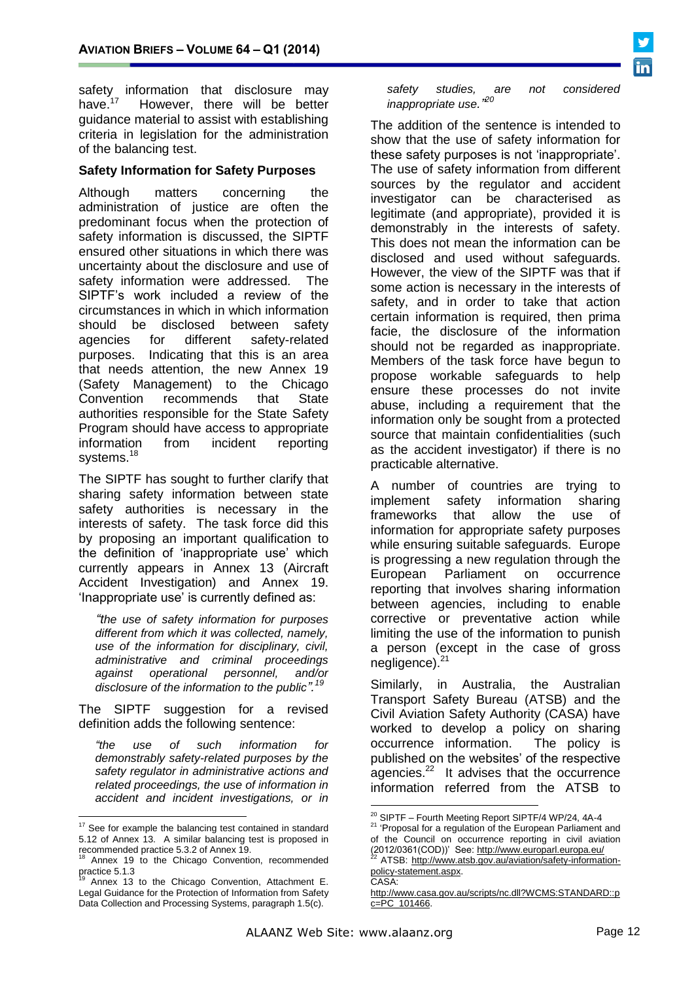

safety information that disclosure may<br>have  $17$  blausure that will be a state have.<sup>1</sup> However, there will be better guidance material to assist with establishing criteria in legislation for the administration of the balancing test.

#### **Safety Information for Safety Purposes**

Although matters concerning the administration of justice are often the predominant focus when the protection of safety information is discussed, the SIPTF ensured other situations in which there was uncertainty about the disclosure and use of safety information were addressed. The SIPTF's work included a review of the circumstances in which in which information should be disclosed between safety agencies for different safety-related purposes. Indicating that this is an area that needs attention, the new Annex 19 (Safety Management) to the Chicago Convention recommends that State authorities responsible for the State Safety Program should have access to appropriate information from incident reporting systems.<sup>18</sup>

The SIPTF has sought to further clarify that sharing safety information between state safety authorities is necessary in the interests of safety. The task force did this by proposing an important qualification to the definition of 'inappropriate use' which currently appears in Annex 13 (Aircraft Accident Investigation) and Annex 19. 'Inappropriate use' is currently defined as:

*"the use of safety information for purposes different from which it was collected, namely, use of the information for disciplinary, civil, administrative and criminal proceedings against operational personnel, and/or disclosure of the information to the public". 19*

The SIPTF suggestion for a revised definition adds the following sentence:

*"the use of such information for demonstrably safety-related purposes by the safety regulator in administrative actions and related proceedings, the use of information in accident and incident investigations, or in* 

*safety studies, are not considered inappropriate use." 20*

The addition of the sentence is intended to show that the use of safety information for these safety purposes is not 'inappropriate'. The use of safety information from different sources by the regulator and accident investigator can be characterised as legitimate (and appropriate), provided it is demonstrably in the interests of safety. This does not mean the information can be disclosed and used without safeguards. However, the view of the SIPTF was that if some action is necessary in the interests of safety, and in order to take that action certain information is required, then prima facie, the disclosure of the information should not be regarded as inappropriate. Members of the task force have begun to propose workable safeguards to help ensure these processes do not invite abuse, including a requirement that the information only be sought from a protected source that maintain confidentialities (such as the accident investigator) if there is no practicable alternative.

A number of countries are trying to implement safety information sharing frameworks that allow the use of information for appropriate safety purposes while ensuring suitable safeguards. Europe is progressing a new regulation through the European Parliament on occurrence reporting that involves sharing information between agencies, including to enable corrective or preventative action while limiting the use of the information to punish a person (except in the case of gross negligence). $21$ 

Similarly, in Australia, the Australian Transport Safety Bureau (ATSB) and the Civil Aviation Safety Authority (CASA) have worked to develop a policy on sharing occurrence information. The policy is published on the websites' of the respective agencies. $22$  It advises that the occurrence information referred from the ATSB to

 $\overline{a}$  $17$  See for example the balancing test contained in standard 5.12 of Annex 13. A similar balancing test is proposed in recommended practice 5.3.2 of Annex 19.

Annex 19 to the Chicago Convention, recommended practice 5.1.3

Annex 13 to the Chicago Convention, Attachment E. Legal Guidance for the Protection of Information from Safety Data Collection and Processing Systems, paragraph 1.5(c).

<sup>&</sup>lt;u>.</u>  $^{20}$  SIPTF – Fourth Meeting Report SIPTF/4 WP/24, 4A-4

<sup>&</sup>lt;sup>21</sup> 'Proposal for a regulation of the European Parliament and of the Council on occurrence reporting in civil aviation (2012/0361(COD))' See[: http://www.europarl.europa.eu/](http://www.europarl.europa.eu/) ATSB: [http://www.atsb.gov.au/aviation/safety-information-](http://www.atsb.gov.au/aviation/safety-information-policy-statement.aspx)

[policy-statement.aspx.](http://www.atsb.gov.au/aviation/safety-information-policy-statement.aspx) CASA:

[http://www.casa.gov.au/scripts/nc.dll?WCMS:STANDARD::p](http://www.casa.gov.au/scripts/nc.dll?WCMS:STANDARD::pc=PC_101466)  $c=PC_101466$ .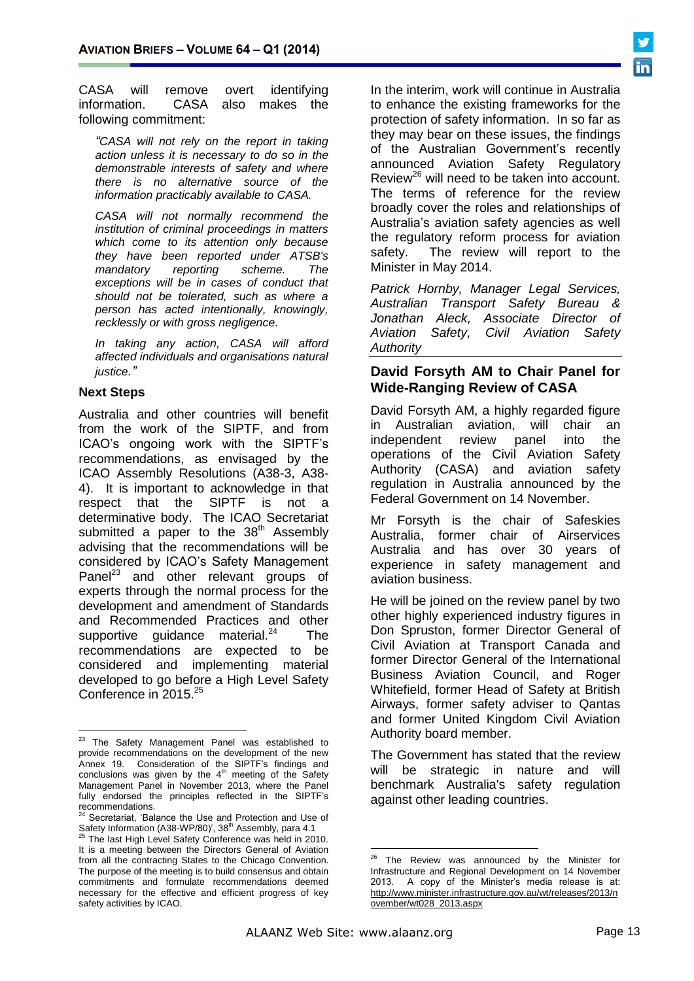

CASA will remove overt identifying information. CASA also makes the following commitment:

*"CASA will not rely on the report in taking action unless it is necessary to do so in the demonstrable interests of safety and where there is no alternative source of the information practicably available to CASA.*

*CASA will not normally recommend the institution of criminal proceedings in matters which come to its attention only because they have been reported under ATSB's mandatory reporting scheme. The exceptions will be in cases of conduct that should not be tolerated, such as where a person has acted intentionally, knowingly, recklessly or with gross negligence.*

*In taking any action, CASA will afford affected individuals and organisations natural justice."*

#### **Next Steps**

Australia and other countries will benefit from the work of the SIPTF, and from ICAO's ongoing work with the SIPTF's recommendations, as envisaged by the ICAO Assembly Resolutions (A38-3, A38- 4). It is important to acknowledge in that respect that the SIPTF is not a determinative body. The ICAO Secretariat submitted a paper to the  $38<sup>th</sup>$  Assembly advising that the recommendations will be considered by ICAO's Safety Management Panel<sup>23</sup> and other relevant groups of experts through the normal process for the development and amendment of Standards and Recommended Practices and other supportive guidance material.<sup>24</sup> The recommendations are expected to be considered and implementing material developed to go before a High Level Safety Conference in 2015.<sup>25</sup>

In the interim, work will continue in Australia to enhance the existing frameworks for the protection of safety information. In so far as they may bear on these issues, the findings of the Australian Government's recently announced Aviation Safety Regulatory Review<sup>26</sup> will need to be taken into account. The terms of reference for the review broadly cover the roles and relationships of Australia's aviation safety agencies as well the regulatory reform process for aviation safety. The review will report to the Minister in May 2014.

*Patrick Hornby, Manager Legal Services, Australian Transport Safety Bureau & Jonathan Aleck, Associate Director of Aviation Safety, Civil Aviation Safety Authority*

#### **David Forsyth AM to Chair Panel for Wide-Ranging Review of CASA**

David Forsyth AM, a highly regarded figure in Australian aviation, will chair an independent review panel into the operations of the Civil Aviation Safety Authority (CASA) and aviation safety regulation in Australia announced by the Federal Government on 14 November.

Mr Forsyth is the chair of Safeskies Australia, former chair of Airservices Australia and has over 30 years of experience in safety management and aviation business.

He will be joined on the review panel by two other highly experienced industry figures in Don Spruston, former Director General of Civil Aviation at Transport Canada and former Director General of the International Business Aviation Council, and Roger Whitefield, former Head of Safety at British Airways, former safety adviser to Qantas and former United Kingdom Civil Aviation Authority board member.

The Government has stated that the review will be strategic in nature and will benchmark Australia's safety regulation against other leading countries.

1

 $\overline{a}$ <sup>23</sup> The Safety Management Panel was established to provide recommendations on the development of the new Annex 19. Consideration of the SIPTF's findings and conclusions was given by the  $4<sup>th</sup>$  meeting of the Safety Management Panel in November 2013, where the Panel fully endorsed the principles reflected in the SIPTF's recommendations.

Secretariat, 'Balance the Use and Protection and Use of Safety Information (A38-WP/80)', 38<sup>th</sup> Assembly, para 4.1

 $25$  The last High Level Safety Conference was held in 2010. It is a meeting between the Directors General of Aviation from all the contracting States to the Chicago Convention. The purpose of the meeting is to build consensus and obtain commitments and formulate recommendations deemed necessary for the effective and efficient progress of key safety activities by ICAO.

<sup>&</sup>lt;sup>26</sup> The Review was announced by the Minister for Infrastructure and Regional Development on 14 November 2013. A copy of the Minister's media release is at: [http://www.minister.infrastructure.gov.au/wt/releases/2013/n](http://www.minister.infrastructure.gov.au/wt/releases/2013/november/wt028_2013.aspx) [ovember/wt028\\_2013.aspx](http://www.minister.infrastructure.gov.au/wt/releases/2013/november/wt028_2013.aspx)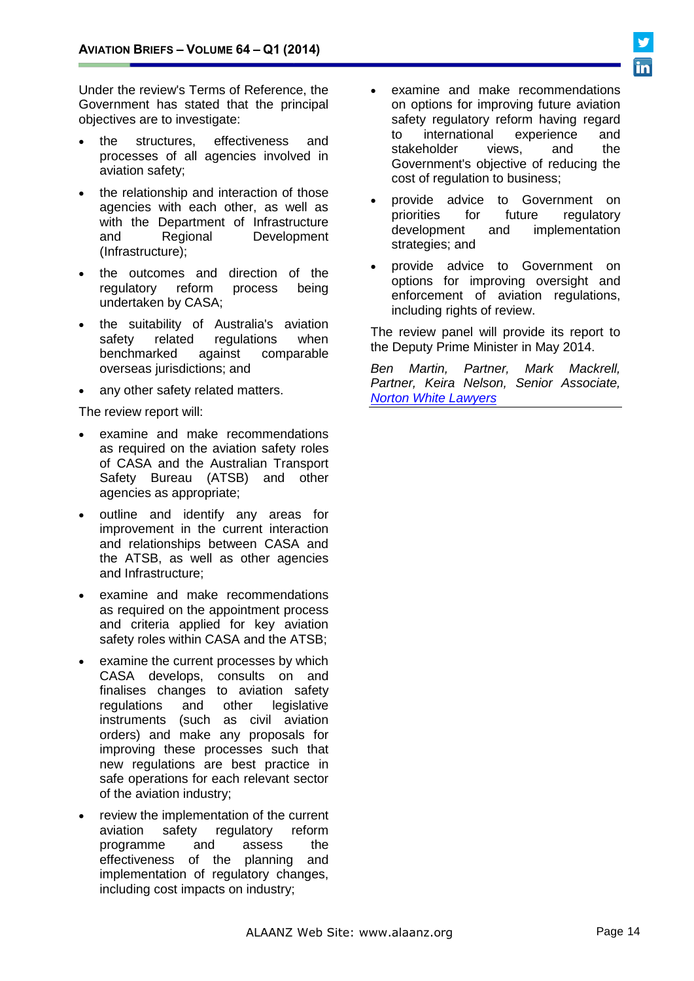Under the review's Terms of Reference, the Government has stated that the principal objectives are to investigate:

- the structures, effectiveness and processes of all agencies involved in aviation safety;
- the relationship and interaction of those agencies with each other, as well as with the Department of Infrastructure and Regional Development (Infrastructure);
- the outcomes and direction of the<br>regulatory reform process being regulatory reform process being undertaken by CASA;
- the suitability of Australia's aviation<br>safety related regulations when safety related regulations when benchmarked against comparable overseas jurisdictions; and
- any other safety related matters.

The review report will:

- examine and make recommendations as required on the aviation safety roles of CASA and the Australian Transport Safety Bureau (ATSB) and other agencies as appropriate;
- outline and identify any areas for improvement in the current interaction and relationships between CASA and the ATSB, as well as other agencies and Infrastructure;
- examine and make recommendations as required on the appointment process and criteria applied for key aviation safety roles within CASA and the ATSB;
- examine the current processes by which CASA develops, consults on and finalises changes to aviation safety regulations and other legislative instruments (such as civil aviation orders) and make any proposals for improving these processes such that new regulations are best practice in safe operations for each relevant sector of the aviation industry;
- review the implementation of the current aviation safety regulatory reform programme and assess the effectiveness of the planning and implementation of regulatory changes, including cost impacts on industry;
- examine and make recommendations on options for improving future aviation safety regulatory reform having regard to international experience and stakeholder views, and the Government's objective of reducing the cost of regulation to business;
- provide advice to Government on priorities for future regulatory development and implementation strategies; and
- provide advice to Government on options for improving oversight and enforcement of aviation regulations, including rights of review.

The review panel will provide its report to the Deputy Prime Minister in May 2014.

*Ben Martin, Partner, Mark Mackrell, Partner, Keira Nelson, Senior Associate, [Norton White Lawyers](http://www.nortonwhite.com/)*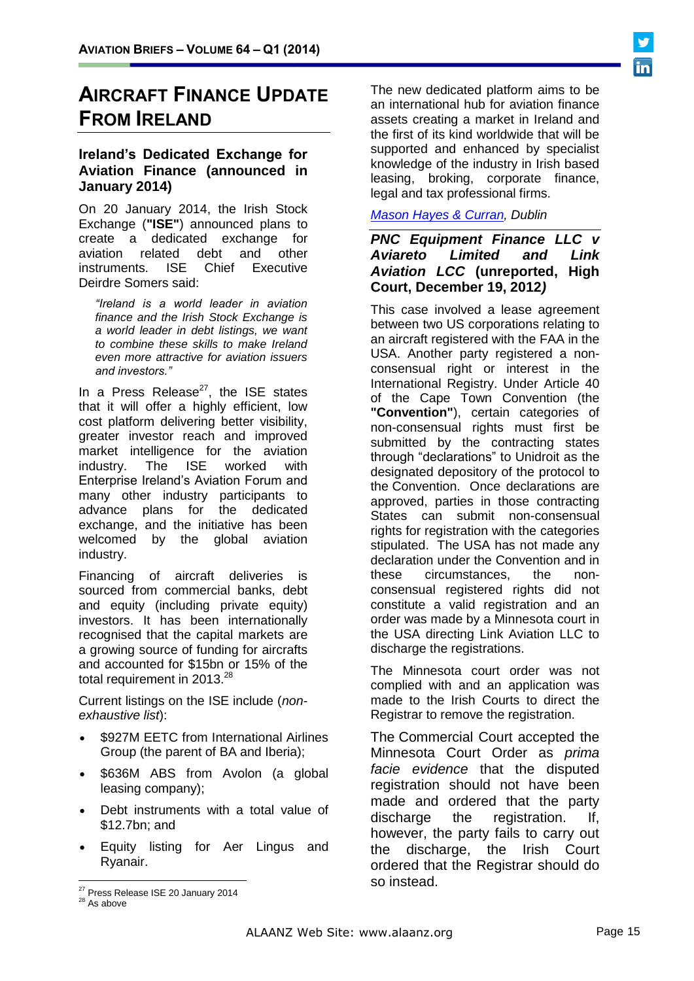# **AIRCRAFT FINANCE UPDATE FROM IRELAND**

### **Ireland's Dedicated Exchange for Aviation Finance (announced in January 2014)**

On 20 January 2014, the Irish Stock Exchange (**"ISE"**) announced plans to create a dedicated exchange for<br>aviation related debt and other aviation related debt a<br>instruments. ISE Chief instruments. ISE Chief Executive Deirdre Somers said:

*"Ireland is a world leader in aviation finance and the Irish Stock Exchange is a world leader in debt listings, we want to combine these skills to make Ireland even more attractive for aviation issuers and investors."*

In a Press Release $^{27}$ , the ISE states that it will offer a highly efficient, low cost platform delivering better visibility, greater investor reach and improved market intelligence for the aviation industry. The ISE worked with Enterprise Ireland's Aviation Forum and many other industry participants to advance plans for the dedicated exchange, and the initiative has been welcomed by the global aviation industry.

Financing of aircraft deliveries is sourced from commercial banks, debt and equity (including private equity) investors. It has been internationally recognised that the capital markets are a growing source of funding for aircrafts and accounted for \$15bn or 15% of the total requirement in  $2013.<sup>28</sup>$ 

Current listings on the ISE include (*nonexhaustive list*):

- \$927M EETC from International Airlines Group (the parent of BA and Iberia);
- \$636M ABS from Avolon (a global leasing company);
- Debt instruments with a total value of \$12.7bn; and
- Equity listing for Aer Lingus and Ryanair.

The new dedicated platform aims to be an international hub for aviation finance assets creating a market in Ireland and the first of its kind worldwide that will be supported and enhanced by specialist knowledge of the industry in Irish based leasing, broking, corporate finance, legal and tax professional firms.

*[Mason Hayes & Curran,](http://www.mhc.ie/) Dublin*

*PNC Equipment Finance LLC v Aviareto Limited and Link Aviation LCC* **(unreported, High Court, December 19, 2012***)* 

This case involved a lease agreement between two US corporations relating to an aircraft registered with the FAA in the USA. Another party registered a nonconsensual right or interest in the International Registry. Under Article 40 of the Cape Town Convention (the **"Convention"**), certain categories of non-consensual rights must first be submitted by the contracting states through "declarations" to Unidroit as the designated depository of the protocol to the Convention. Once declarations are approved, parties in those contracting States can submit non-consensual rights for registration with the categories stipulated. The USA has not made any declaration under the Convention and in these circumstances, the nonconsensual registered rights did not constitute a valid registration and an order was made by a Minnesota court in the USA directing Link Aviation LLC to discharge the registrations.

The Minnesota court order was not complied with and an application was made to the Irish Courts to direct the Registrar to remove the registration.

The Commercial Court accepted the Minnesota Court Order as *prima facie evidence* that the disputed registration should not have been made and ordered that the party discharge the registration. If, however, the party fails to carry out the discharge, the Irish Court ordered that the Registrar should do so instead.

 $\overline{a}$ 

<sup>&</sup>lt;sup>27</sup> Press Release ISE 20 January 2014

 $28$  As above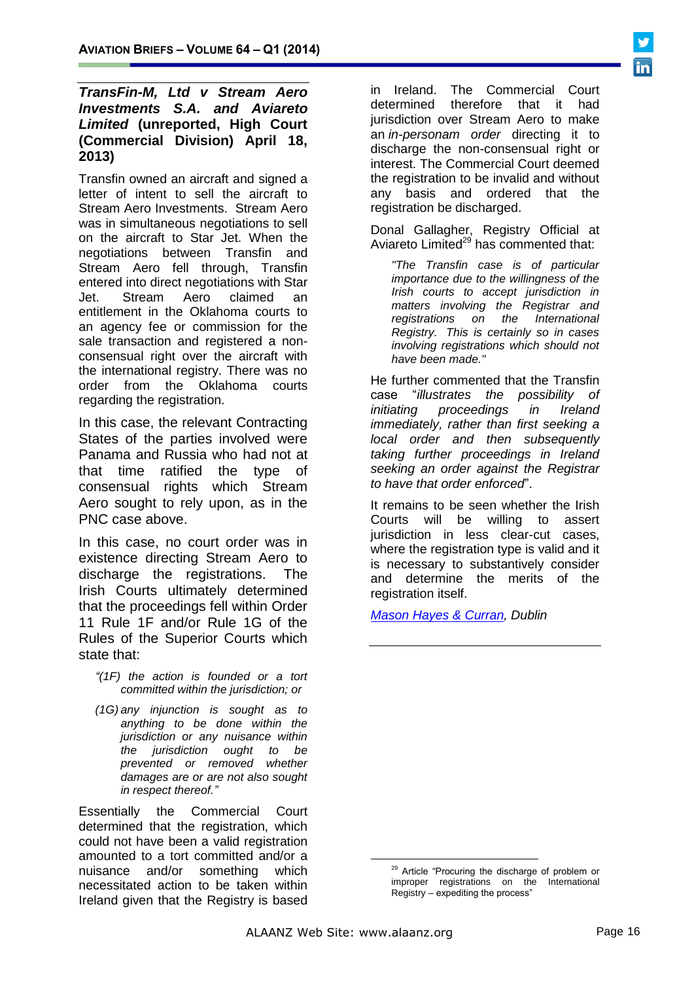#### *TransFin-M, Ltd v Stream Aero Investments S.A. and Aviareto Limited* **(unreported, High Court (Commercial Division) April 18, 2013)**

Transfin owned an aircraft and signed a letter of intent to sell the aircraft to Stream Aero Investments. Stream Aero was in simultaneous negotiations to sell on the aircraft to Star Jet. When the negotiations between Transfin and Stream Aero fell through, Transfin entered into direct negotiations with Star Jet. Stream Aero claimed an entitlement in the Oklahoma courts to an agency fee or commission for the sale transaction and registered a nonconsensual right over the aircraft with the international registry. There was no order from the Oklahoma courts regarding the registration.

In this case, the relevant Contracting States of the parties involved were Panama and Russia who had not at that time ratified the type of consensual rights which Stream Aero sought to rely upon, as in the PNC case above.

In this case, no court order was in existence directing Stream Aero to discharge the registrations. The Irish Courts ultimately determined that the proceedings fell within Order 11 Rule 1F and/or Rule 1G of the Rules of the Superior Courts which state that:

- *"(1F) the action is founded or a tort committed within the jurisdiction; or*
- *(1G) any injunction is sought as to anything to be done within the jurisdiction or any nuisance within the jurisdiction ought to be prevented or removed whether damages are or are not also sought in respect thereof."*

Essentially the Commercial Court determined that the registration, which could not have been a valid registration amounted to a tort committed and/or a nuisance and/or something which necessitated action to be taken within Ireland given that the Registry is based in Ireland. The Commercial Court determined therefore that it had jurisdiction over Stream Aero to make an *in-personam order* directing it to discharge the non-consensual right or interest. The Commercial Court deemed the registration to be invalid and without any basis and ordered that the registration be discharged.

Donal Gallagher, Registry Official at Aviareto Limited $^{29}$  has commented that:

*"The Transfin case is of particular importance due to the willingness of the Irish courts to accept jurisdiction in matters involving the Registrar and registrations on the International Registry. This is certainly so in cases involving registrations which should not have been made."*

He further commented that the Transfin case "*illustrates the possibility of initiating proceedings in Ireland immediately, rather than first seeking a local order and then subsequently taking further proceedings in Ireland seeking an order against the Registrar to have that order enforced*".

It remains to be seen whether the Irish Courts will be willing to assert jurisdiction in less clear-cut cases, where the registration type is valid and it is necessary to substantively consider and determine the merits of the registration itself.

*[Mason Hayes & Curran,](http://www.mhc.ie/) Dublin*

<u>.</u>

<sup>&</sup>lt;sup>29</sup> Article "Procuring the discharge of problem or improper registrations on the International Registry – expediting the process"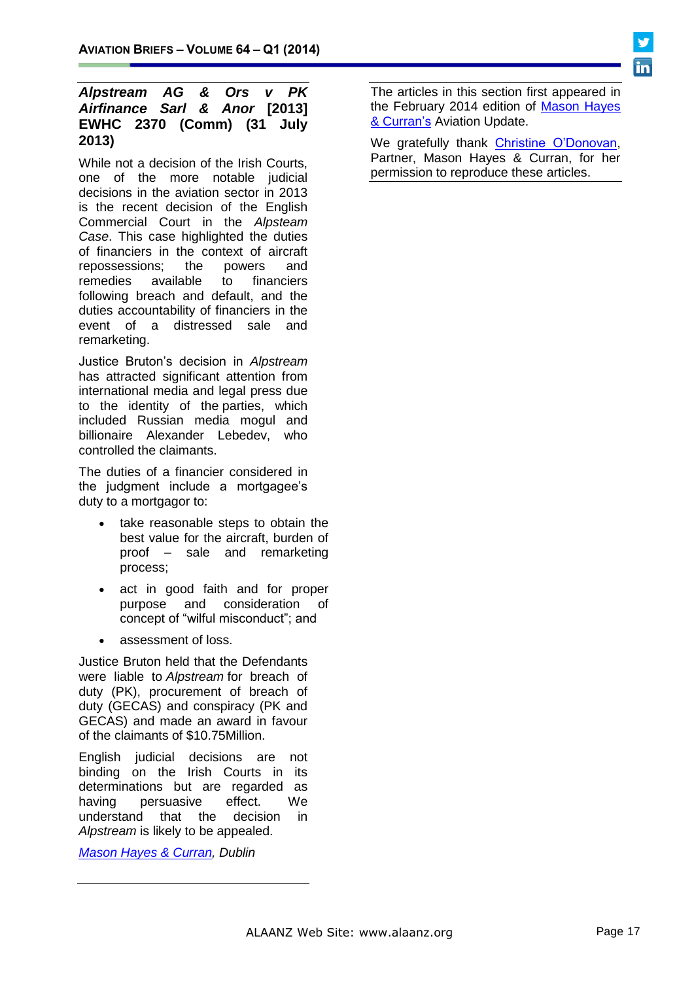

#### *Alpstream AG & Ors v PK Airfinance Sarl & Anor* **[2013] EWHC 2370 (Comm) (31 July 2013)**

While not a decision of the Irish Courts, one of the more notable judicial decisions in the aviation sector in 2013 is the recent decision of the English Commercial Court in the *Alpsteam Case*. This case highlighted the duties of financiers in the context of aircraft repossessions; the powers and remedies available to financiers following breach and default, and the duties accountability of financiers in the event of a distressed sale and remarketing.

Justice Bruton's decision in *Alpstream* has attracted significant attention from international media and legal press due to the identity of the parties, which included Russian media mogul and billionaire Alexander Lebedev, who controlled the claimants.

The duties of a financier considered in the judgment include a mortgagee's duty to a mortgagor to:

- take reasonable steps to obtain the best value for the aircraft, burden of proof – sale and remarketing process;
- act in good faith and for proper purpose and consideration of concept of "wilful misconduct"; and
- assessment of loss.

Justice Bruton held that the Defendants were liable to *Alpstream* for breach of duty (PK), procurement of breach of duty (GECAS) and conspiracy (PK and GECAS) and made an award in favour of the claimants of \$10.75Million.

English judicial decisions are not binding on the Irish Courts in its determinations but are regarded as having persuasive effect. We understand that the decision in *Alpstream* is likely to be appealed.

*[Mason Hayes & Curran,](http://www.mhc.ie/) Dublin*

The articles in this section first appeared in the February 2014 edition of Mason Hayes [& Curran's](http://www.mhc.ie/) Aviation Update.

We gratefully thank [Christine O'Donovan,](mailto:codonovan@mhc.ie) Partner, Mason Hayes & Curran, for her permission to reproduce these articles.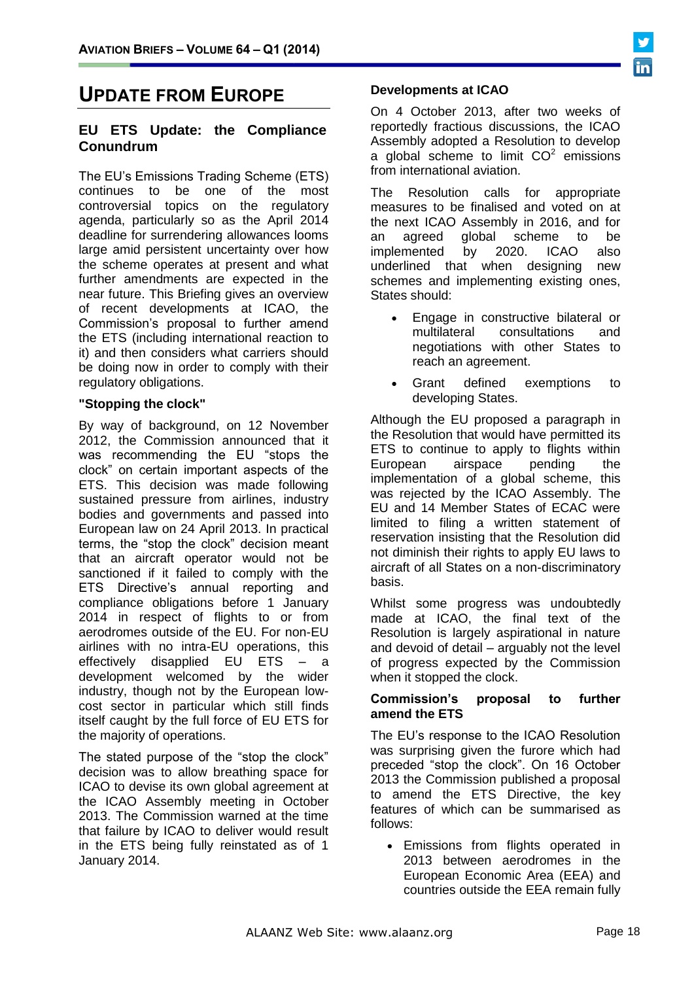# **UPDATE FROM EUROPE**

#### **EU ETS Update: the Compliance Conundrum**

The EU's Emissions Trading Scheme (ETS) continues to be one of the most controversial topics on the regulatory agenda, particularly so as the April 2014 deadline for surrendering allowances looms large amid persistent uncertainty over how the scheme operates at present and what further amendments are expected in the near future. This Briefing gives an overview of recent developments at ICAO, the Commission's proposal to further amend the ETS (including international reaction to it) and then considers what carriers should be doing now in order to comply with their regulatory obligations.

#### **"Stopping the clock"**

By way of background, on 12 November 2012, the Commission announced that it was recommending the EU "stops the clock" on certain important aspects of the ETS. This decision was made following sustained pressure from airlines, industry bodies and governments and passed into European law on 24 April 2013. In practical terms, the "stop the clock" decision meant that an aircraft operator would not be sanctioned if it failed to comply with the ETS Directive's annual reporting and compliance obligations before 1 January 2014 in respect of flights to or from aerodromes outside of the EU. For non-EU airlines with no intra-EU operations, this effectively disapplied EU ETS – a development welcomed by the wider industry, though not by the European lowcost sector in particular which still finds itself caught by the full force of EU ETS for the majority of operations.

The stated purpose of the "stop the clock" decision was to allow breathing space for ICAO to devise its own global agreement at the ICAO Assembly meeting in October 2013. The Commission warned at the time that failure by ICAO to deliver would result in the ETS being fully reinstated as of 1 January 2014.

#### **Developments at ICAO**

On 4 October 2013, after two weeks of reportedly fractious discussions, the ICAO Assembly adopted a Resolution to develop a global scheme to limit  $CO<sup>2</sup>$  emissions from international aviation.

The Resolution calls for appropriate measures to be finalised and voted on at the next ICAO Assembly in 2016, and for<br>an agreed global scheme to be an agreed global scheme to be implemented by 2020. ICAO also underlined that when designing new schemes and implementing existing ones, States should:

- Engage in constructive bilateral or multilateral consultations and negotiations with other States to reach an agreement.
- Grant defined exemptions to developing States.

Although the EU proposed a paragraph in the Resolution that would have permitted its ETS to continue to apply to flights within European airspace pending the implementation of a global scheme, this was rejected by the ICAO Assembly. The EU and 14 Member States of ECAC were limited to filing a written statement of reservation insisting that the Resolution did not diminish their rights to apply EU laws to aircraft of all States on a non-discriminatory basis.

Whilst some progress was undoubtedly made at ICAO, the final text of the Resolution is largely aspirational in nature and devoid of detail – arguably not the level of progress expected by the Commission when it stopped the clock.

#### **Commission's proposal to further amend the ETS**

The EU's response to the ICAO Resolution was surprising given the furore which had preceded "stop the clock". On 16 October 2013 the Commission published a proposal to amend the ETS Directive, the key features of which can be summarised as follows:

 Emissions from flights operated in 2013 between aerodromes in the European Economic Area (EEA) and countries outside the EEA remain fully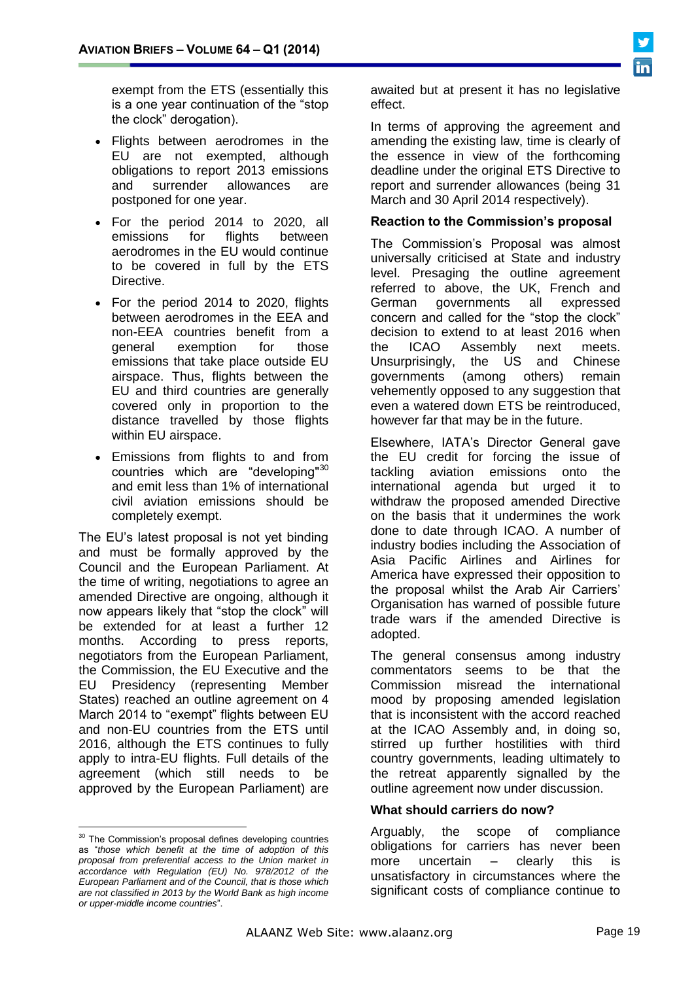exempt from the ETS (essentially this is a one year continuation of the "stop the clock" derogation).

- Flights between aerodromes in the EU are not exempted, although obligations to report 2013 emissions<br>and surrender allowances are and surrender allowances are postponed for one year.
- For the period 2014 to 2020, all emissions for flights between aerodromes in the EU would continue to be covered in full by the ETS Directive.
- For the period 2014 to 2020, flights between aerodromes in the EEA and non-EEA countries benefit from a general exemption for those emissions that take place outside EU airspace. Thus, flights between the EU and third countries are generally covered only in proportion to the distance travelled by those flights within EU airspace.
- Emissions from flights to and from countries which are "developing"<sup>30</sup> and emit less than 1% of international civil aviation emissions should be completely exempt.

The EU's latest proposal is not yet binding and must be formally approved by the Council and the European Parliament. At the time of writing, negotiations to agree an amended Directive are ongoing, although it now appears likely that "stop the clock" will be extended for at least a further 12 months. According to press reports, negotiators from the European Parliament, the Commission, the EU Executive and the EU Presidency (representing Member States) reached an outline agreement on 4 March 2014 to "exempt" flights between EU and non-EU countries from the ETS until 2016, although the ETS continues to fully apply to intra-EU flights. Full details of the agreement (which still needs to be approved by the European Parliament) are

awaited but at present it has no legislative effect.

In terms of approving the agreement and amending the existing law, time is clearly of the essence in view of the forthcoming deadline under the original ETS Directive to report and surrender allowances (being 31 March and 30 April 2014 respectively).

#### **Reaction to the Commission's proposal**

The Commission's Proposal was almost universally criticised at State and industry level. Presaging the outline agreement referred to above, the UK, French and German governments all expressed concern and called for the "stop the clock" decision to extend to at least 2016 when the ICAO Assembly next meets. Unsurprisingly, the US and Chinese governments (among others) remain vehemently opposed to any suggestion that even a watered down ETS be reintroduced, however far that may be in the future.

Elsewhere, IATA's Director General gave the EU credit for forcing the issue of tackling aviation emissions onto the international agenda but urged it to withdraw the proposed amended Directive on the basis that it undermines the work done to date through ICAO. A number of industry bodies including the Association of Asia Pacific Airlines and Airlines for America have expressed their opposition to the proposal whilst the Arab Air Carriers' Organisation has warned of possible future trade wars if the amended Directive is adopted.

The general consensus among industry commentators seems to be that the Commission misread the international mood by proposing amended legislation that is inconsistent with the accord reached at the ICAO Assembly and, in doing so, stirred up further hostilities with third country governments, leading ultimately to the retreat apparently signalled by the outline agreement now under discussion.

#### **What should carriers do now?**

Arguably, the scope of compliance obligations for carriers has never been more uncertain – clearly this is unsatisfactory in circumstances where the significant costs of compliance continue to

 $\overline{a}$  $30$  The Commission's proposal defines developing countries as "*those which benefit at the time of adoption of this proposal from preferential access to the Union market in accordance with Regulation (EU) No. 978/2012 of the European Parliament and of the Council, that is those which are not classified in 2013 by the World Bank as high income or upper-middle income countries*".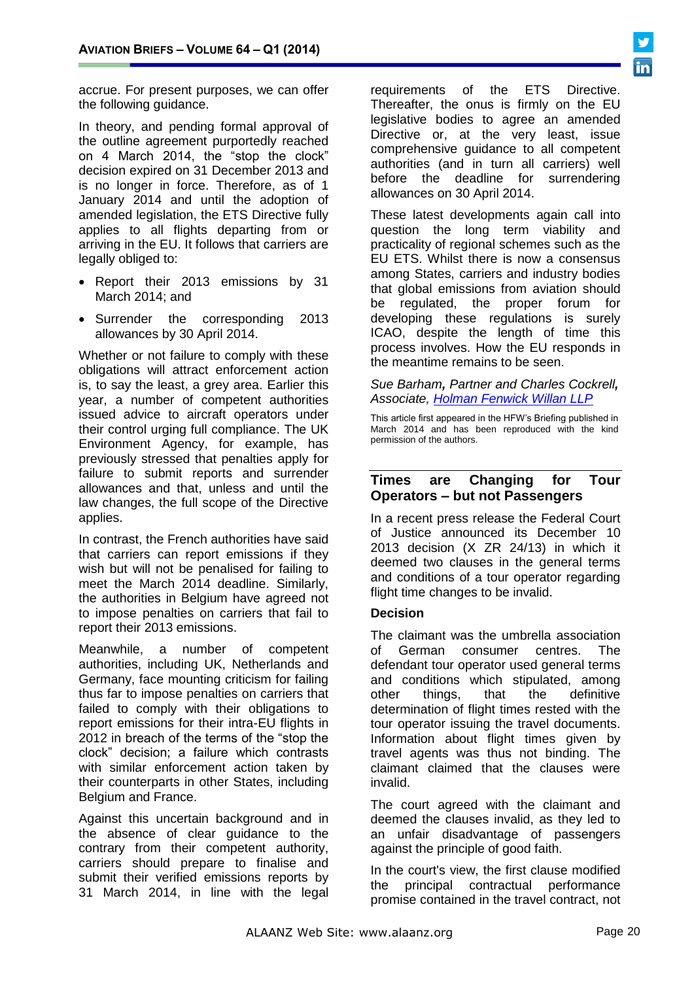

accrue. For present purposes, we can offer the following guidance.

In theory, and pending formal approval of the outline agreement purportedly reached on 4 March 2014, the "stop the clock" decision expired on 31 December 2013 and is no longer in force. Therefore, as of 1 January 2014 and until the adoption of amended legislation, the ETS Directive fully applies to all flights departing from or arriving in the EU. It follows that carriers are legally obliged to:

- Report their 2013 emissions by 31 March 2014; and
- Surrender the corresponding 2013 allowances by 30 April 2014.

Whether or not failure to comply with these obligations will attract enforcement action is, to say the least, a grey area. Earlier this year, a number of competent authorities issued advice to aircraft operators under their control urging full compliance. The UK Environment Agency, for example, has previously stressed that penalties apply for failure to submit reports and surrender allowances and that, unless and until the law changes, the full scope of the Directive applies.

In contrast, the French authorities have said that carriers can report emissions if they wish but will not be penalised for failing to meet the March 2014 deadline. Similarly, the authorities in Belgium have agreed not to impose penalties on carriers that fail to report their 2013 emissions.

Meanwhile, a number of competent authorities, including UK, Netherlands and Germany, face mounting criticism for failing thus far to impose penalties on carriers that failed to comply with their obligations to report emissions for their intra-EU flights in 2012 in breach of the terms of the "stop the clock" decision; a failure which contrasts with similar enforcement action taken by their counterparts in other States, including Belgium and France.

Against this uncertain background and in the absence of clear guidance to the contrary from their competent authority, carriers should prepare to finalise and submit their verified emissions reports by 31 March 2014, in line with the legal

requirements of the ETS Directive. Thereafter, the onus is firmly on the EU legislative bodies to agree an amended Directive or, at the very least, issue comprehensive guidance to all competent authorities (and in turn all carriers) well before the deadline for surrendering allowances on 30 April 2014.

These latest developments again call into question the long term viability and practicality of regional schemes such as the EU ETS. Whilst there is now a consensus among States, carriers and industry bodies that global emissions from aviation should be regulated, the proper forum for developing these regulations is surely ICAO, despite the length of time this process involves. How the EU responds in the meantime remains to be seen.

*Sue Barham, Partner and Charles Cockrell, Associate, [Holman Fenwick Willan LLP](http://www.hfw.com/Home)*

This article first appeared in the HFW's Briefing published in March 2014 and has been reproduced with the kind permission of the authors.

#### **Times are Changing for Tour Operators – but not Passengers**

In a recent press release the Federal Court of Justice announced its December 10 2013 decision (X ZR 24/13) in which it deemed two clauses in the general terms and conditions of a tour operator regarding flight time changes to be invalid.

#### **Decision**

The claimant was the umbrella association of German consumer centres. The defendant tour operator used general terms and conditions which stipulated, among<br>other things, that the definitive other things, that the definitive determination of flight times rested with the tour operator issuing the travel documents. Information about flight times given by travel agents was thus not binding. The claimant claimed that the clauses were invalid.

The court agreed with the claimant and deemed the clauses invalid, as they led to an unfair disadvantage of passengers against the principle of good faith.

In the court's view, the first clause modified the principal contractual performance promise contained in the travel contract, not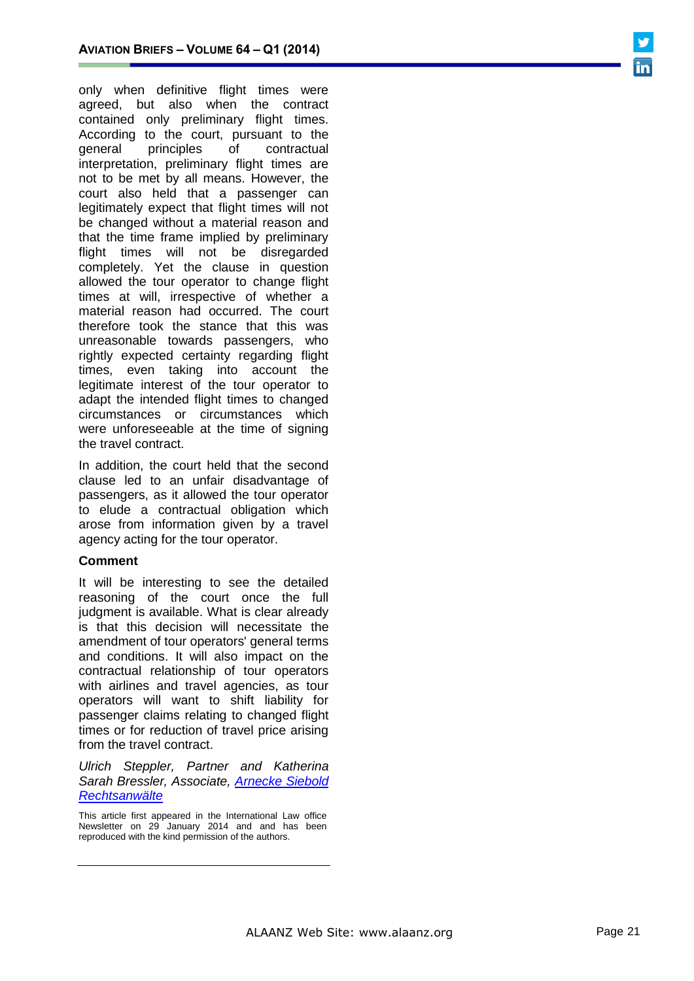only when definitive flight times were agreed, but also when the contract contained only preliminary flight times. According to the court, pursuant to the general principles of contractual interpretation, preliminary flight times are not to be met by all means. However, the court also held that a passenger can legitimately expect that flight times will not be changed without a material reason and that the time frame implied by preliminary flight times will not be disregarded completely. Yet the clause in question allowed the tour operator to change flight times at will, irrespective of whether a material reason had occurred. The court therefore took the stance that this was unreasonable towards passengers, who rightly expected certainty regarding flight times, even taking into account the legitimate interest of the tour operator to adapt the intended flight times to changed circumstances or circumstances which were unforeseeable at the time of signing the travel contract.

In addition, the court held that the second clause led to an unfair disadvantage of passengers, as it allowed the tour operator to elude a contractual obligation which arose from information given by a travel agency acting for the tour operator.

#### **Comment**

It will be interesting to see the detailed reasoning of the court once the full judgment is available. What is clear already is that this decision will necessitate the amendment of tour operators' general terms and conditions. It will also impact on the contractual relationship of tour operators with airlines and travel agencies, as tour operators will want to shift liability for passenger claims relating to changed flight times or for reduction of travel price arising from the travel contract.

*Ulrich Steppler, Partner and Katherina Sarah Bressler, Associate, [Arnecke Siebold](http://www.arneckesiebold.de/PROFIL.8.0.html?&L=1)  [Rechtsanwälte](http://www.arneckesiebold.de/PROFIL.8.0.html?&L=1)*

This article first appeared in the International Law office Newsletter on 29 January 2014 and and has been reproduced with the kind permission of the authors.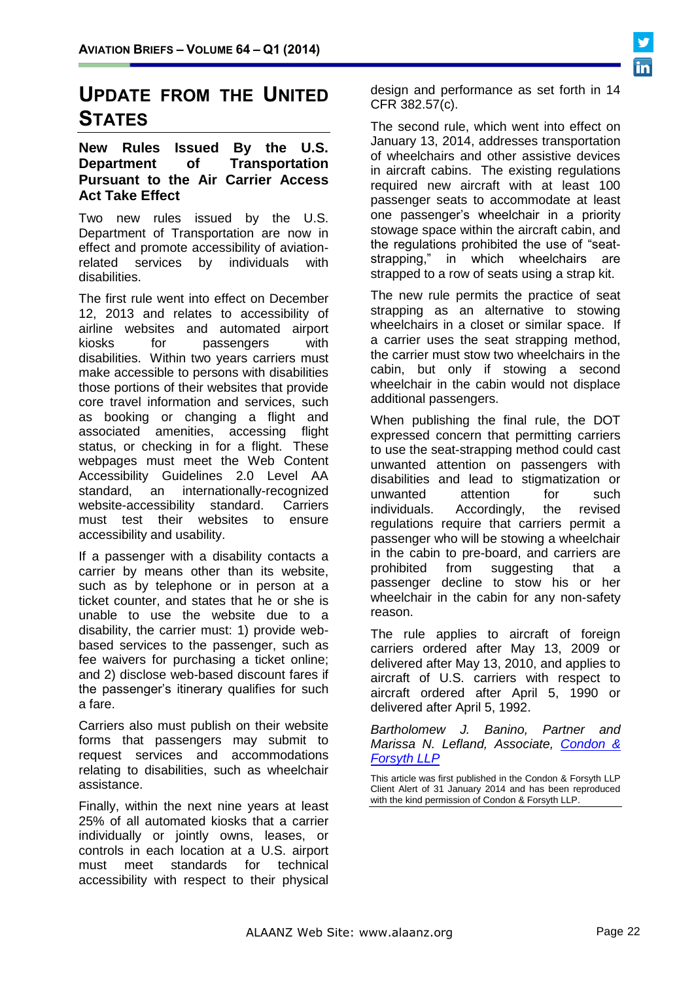# **UPDATE FROM THE UNITED STATES**

#### **New Rules Issued By the U.S. Department of Transportation Pursuant to the Air Carrier Access Act Take Effect**

Two new rules issued by the U.S. Department of Transportation are now in effect and promote accessibility of aviationrelated services by individuals with disabilities.

The first rule went into effect on December 12, 2013 and relates to accessibility of airline websites and automated airport kiosks for passengers with disabilities. Within two years carriers must make accessible to persons with disabilities those portions of their websites that provide core travel information and services, such as booking or changing a flight and associated amenities, accessing flight status, or checking in for a flight. These webpages must meet the Web Content Accessibility Guidelines 2.0 Level AA standard, an internationally-recognized website-accessibility standard. Carriers must test their websites to ensure accessibility and usability.

If a passenger with a disability contacts a carrier by means other than its website, such as by telephone or in person at a ticket counter, and states that he or she is unable to use the website due to a disability, the carrier must: 1) provide webbased services to the passenger, such as fee waivers for purchasing a ticket online; and 2) disclose web-based discount fares if the passenger's itinerary qualifies for such a fare.

Carriers also must publish on their website forms that passengers may submit to request services and accommodations relating to disabilities, such as wheelchair assistance.

Finally, within the next nine years at least 25% of all automated kiosks that a carrier individually or jointly owns, leases, or controls in each location at a U.S. airport must meet standards for technical accessibility with respect to their physical

design and performance as set forth in 14 CFR 382.57(c).

The second rule, which went into effect on January 13, 2014, addresses transportation of wheelchairs and other assistive devices in aircraft cabins. The existing regulations required new aircraft with at least 100 passenger seats to accommodate at least one passenger's wheelchair in a priority stowage space within the aircraft cabin, and the regulations prohibited the use of "seatstrapping," in which wheelchairs are strapped to a row of seats using a strap kit.

The new rule permits the practice of seat strapping as an alternative to stowing wheelchairs in a closet or similar space. If a carrier uses the seat strapping method, the carrier must stow two wheelchairs in the cabin, but only if stowing a second wheelchair in the cabin would not displace additional passengers.

When publishing the final rule, the DOT expressed concern that permitting carriers to use the seat-strapping method could cast unwanted attention on passengers with disabilities and lead to stigmatization or unwanted attention for such individuals. Accordingly, the revised regulations require that carriers permit a passenger who will be stowing a wheelchair in the cabin to pre-board, and carriers are prohibited from suggesting that a passenger decline to stow his or her wheelchair in the cabin for any non-safety reason.

The rule applies to aircraft of foreign carriers ordered after May 13, 2009 or delivered after May 13, 2010, and applies to aircraft of U.S. carriers with respect to aircraft ordered after April 5, 1990 or delivered after April 5, 1992.

*[Bartholomew J. Banino,](http://www.condonlaw.com/people/lawyers/bartholomew-banino/) Partner and [Marissa N. Lefland,](http://www.condonlaw.com/people/lawyers/marissa-lefland/) Associate, [Condon &](http://www.condonlaw.com/)  [Forsyth LLP](http://www.condonlaw.com/)*

This article was first published in the Condon & Forsyth LLP Client Alert of 31 January 2014 and has been reproduced with the kind permission of Condon & Forsyth LLP.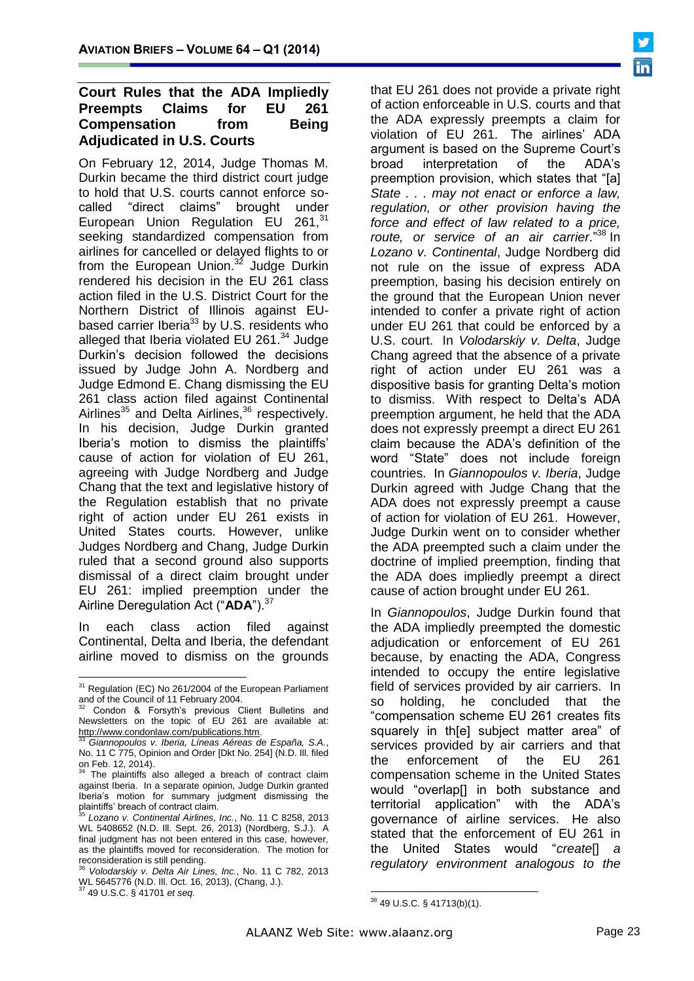#### **Court Rules that the ADA Impliedly Preempts Claims for EU 261 Compensation from Being Adjudicated in U.S. Courts**

On February 12, 2014, Judge Thomas M. Durkin became the third district court judge to hold that U.S. courts cannot enforce socalled "direct claims" brought under European Union Regulation EU 261,<sup>31</sup> seeking standardized compensation from airlines for cancelled or delayed flights to or from the European Union. $32$  Judge Durkin rendered his decision in the EU 261 class action filed in the U.S. District Court for the Northern District of Illinois against EUbased carrier Iberia<sup>33</sup> by U.S. residents who alleged that Iberia violated EU 261.<sup>34</sup> Judge Durkin's decision followed the decisions issued by Judge John A. Nordberg and Judge Edmond E. Chang dismissing the EU 261 class action filed against Continental Airlines $35$  and Delta Airlines,  $36$  respectively. In his decision, Judge Durkin granted Iberia's motion to dismiss the plaintiffs' cause of action for violation of EU 261, agreeing with Judge Nordberg and Judge Chang that the text and legislative history of the Regulation establish that no private right of action under EU 261 exists in United States courts. However, unlike Judges Nordberg and Chang, Judge Durkin ruled that a second ground also supports dismissal of a direct claim brought under EU 261: implied preemption under the Airline Deregulation Act ("**ADA**").<sup>37</sup>

In each class action filed against Continental, Delta and Iberia, the defendant airline moved to dismiss on the grounds that EU 261 does not provide a private right of action enforceable in U.S. courts and that the ADA expressly preempts a claim for violation of EU 261. The airlines' ADA argument is based on the Supreme Court's broad interpretation of the ADA's preemption provision, which states that "[a] *State . . . may not enact or enforce a law, regulation, or other provision having the force and effect of law related to a price, route, or service of an air carrier*."<sup>38</sup> In *Lozano v. Continental*, Judge Nordberg did not rule on the issue of express ADA preemption, basing his decision entirely on the ground that the European Union never intended to confer a private right of action under EU 261 that could be enforced by a U.S. court. In *Volodarskiy v. Delta*, Judge Chang agreed that the absence of a private right of action under EU 261 was a dispositive basis for granting Delta's motion to dismiss. With respect to Delta's ADA preemption argument, he held that the ADA does not expressly preempt a direct EU 261 claim because the ADA's definition of the word "State" does not include foreign countries. In *Giannopoulos v. Iberia*, Judge Durkin agreed with Judge Chang that the ADA does not expressly preempt a cause of action for violation of EU 261. However, Judge Durkin went on to consider whether the ADA preempted such a claim under the doctrine of implied preemption, finding that the ADA does impliedly preempt a direct cause of action brought under EU 261.

In *Giannopoulos*, Judge Durkin found that the ADA impliedly preempted the domestic adjudication or enforcement of EU 261 because, by enacting the ADA, Congress intended to occupy the entire legislative field of services provided by air carriers. In so holding, he concluded that the "compensation scheme EU 261 creates fits squarely in th[e] subject matter area" of services provided by air carriers and that the enforcement of the EU 261 compensation scheme in the United States would "overlap[] in both substance and territorial application" with the ADA's governance of airline services. He also stated that the enforcement of EU 261 in the United States would "*create*[] *a regulatory environment analogous to the* 



 $\overline{a}$ <sup>31</sup> Regulation (EC) No 261/2004 of the European Parliament and of the Council of 11 February 2004.

Condon & Forsyth's previous Client Bulletins and Newsletters on the topic of EU 261 are available at: [http://www.condonlaw.com/publications.htm.](http://www.condonlaw.com/publications.htm)

<sup>33</sup> *Giannopoulos v. Iberia, Líneas Aéreas de España, S.A.*, No. 11 C 775, Opinion and Order [Dkt No. 254] (N.D. Ill. filed on Feb. 12, 2014).

The plaintiffs also alleged a breach of contract claim against Iberia. In a separate opinion, Judge Durkin granted Iberia's motion for summary judgment dismissing the plaintiffs' breach of contract claim.

<sup>35</sup> *Lozano v. Continental Airlines, Inc.*, No. 11 C 8258, 2013 WL 5408652 (N.D. Ill. Sept. 26, 2013) (Nordberg, S.J.). A final judgment has not been entered in this case, however, as the plaintiffs moved for reconsideration. The motion for reconsideration is still pending.

<sup>36</sup> *Volodarskiy v. Delta Air Lines, Inc.*, No. 11 C 782, 2013 WL 5645776 (N.D. Ill. Oct. 16, 2013), (Chang, J.). <sup>37</sup> 49 U.S.C. § 41701 *et seq.*

<sup>-</sup><sup>38</sup> 49 U.S.C. § 41713(b)(1).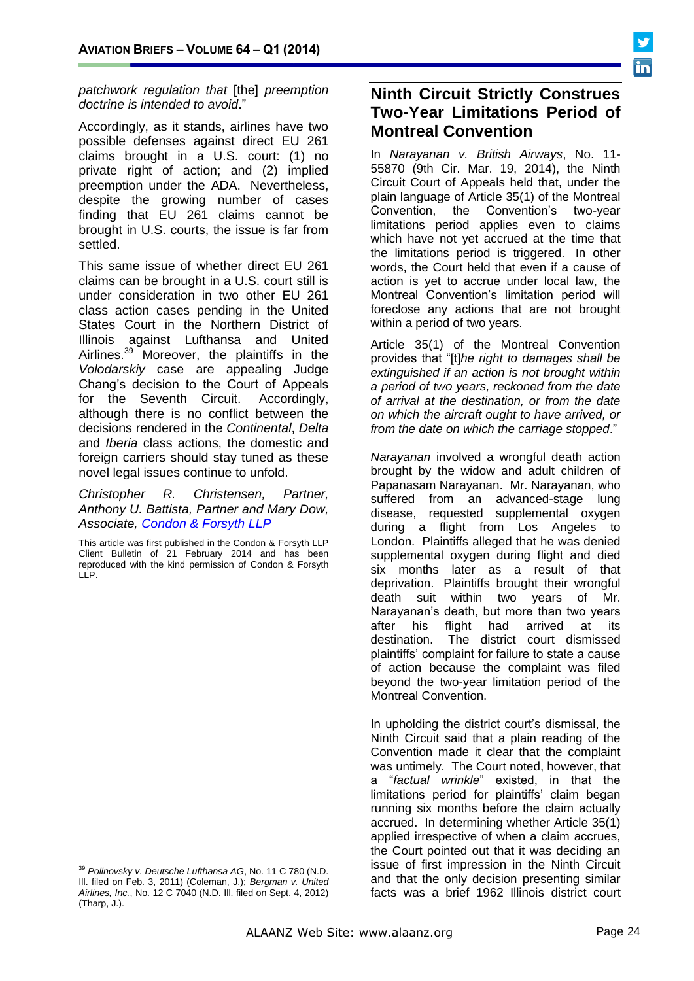

*patchwork regulation that* [the] *preemption doctrine is intended to avoid*."

Accordingly, as it stands, airlines have two possible defenses against direct EU 261 claims brought in a U.S. court: (1) no private right of action; and (2) implied preemption under the ADA. Nevertheless, despite the growing number of cases finding that EU 261 claims cannot be brought in U.S. courts, the issue is far from settled.

This same issue of whether direct EU 261 claims can be brought in a U.S. court still is under consideration in two other EU 261 class action cases pending in the United States Court in the Northern District of Illinois against Lufthansa and United Airlines.<sup>39</sup> Moreover, the plaintiffs in the *Volodarskiy* case are appealing Judge Chang's decision to the Court of Appeals for the Seventh Circuit. Accordingly, although there is no conflict between the decisions rendered in the *Continental*, *Delta* and *Iberia* class actions, the domestic and foreign carriers should stay tuned as these novel legal issues continue to unfold.

*[Christopher R. Christensen,](http://www.condonlaw.com/people/lawyers/christopher-christensen/) Partner, [Anthony U. Battista,](http://www.condonlaw.com/people/lawyers/anthony-battista/) Partner and [Mary Dow,](http://www.condonlaw.com/people/lawyers/mary-dow/) Associate, [Condon & Forsyth LLP](http://www.condonlaw.com/)*

This article was first published in the Condon & Forsyth LLP Client Bulletin of 21 February 2014 and has been reproduced with the kind permission of Condon & Forsyth LLP.

 $\overline{a}$ 

# **Ninth Circuit Strictly Construes Two-Year Limitations Period of Montreal Convention**

In *Narayanan v. British Airways*, No. 11- 55870 (9th Cir. Mar. 19, 2014), the Ninth Circuit Court of Appeals held that, under the plain language of Article 35(1) of the Montreal Convention, the Convention's two-year limitations period applies even to claims which have not yet accrued at the time that the limitations period is triggered. In other words, the Court held that even if a cause of action is yet to accrue under local law, the Montreal Convention's limitation period will foreclose any actions that are not brought within a period of two years.

Article 35(1) of the Montreal Convention provides that "[t]*he right to damages shall be extinguished if an action is not brought within a period of two years, reckoned from the date of arrival at the destination, or from the date on which the aircraft ought to have arrived, or from the date on which the carriage stopped*."

*Narayanan* involved a wrongful death action brought by the widow and adult children of Papanasam Narayanan. Mr. Narayanan, who suffered from an advanced-stage lung disease, requested supplemental oxygen during a flight from Los Angeles to London. Plaintiffs alleged that he was denied supplemental oxygen during flight and died six months later as a result of that deprivation. Plaintiffs brought their wrongful death suit within two years of Mr. Narayanan's death, but more than two years<br>after his flight had arrived at its after his flight had arrived at its destination. The district court dismissed plaintiffs' complaint for failure to state a cause of action because the complaint was filed beyond the two-year limitation period of the Montreal Convention.

In upholding the district court's dismissal, the Ninth Circuit said that a plain reading of the Convention made it clear that the complaint was untimely. The Court noted, however, that a "*factual wrinkle*" existed, in that the limitations period for plaintiffs' claim began running six months before the claim actually accrued. In determining whether Article 35(1) applied irrespective of when a claim accrues, the Court pointed out that it was deciding an issue of first impression in the Ninth Circuit and that the only decision presenting similar facts was a brief 1962 Illinois district court

<sup>39</sup> *Polinovsky v. Deutsche Lufthansa AG*, No. 11 C 780 (N.D. Ill. filed on Feb. 3, 2011) (Coleman, J.); *Bergman v. United Airlines, Inc.*, No. 12 C 7040 (N.D. Ill. filed on Sept. 4, 2012) (Tharp, J.).